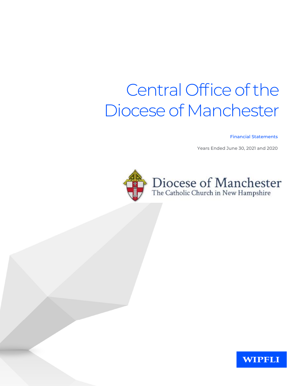# Central Office of the Diocese of Manchester

#### **Financial Statements**

Years Ended June 30, 2021 and 2020



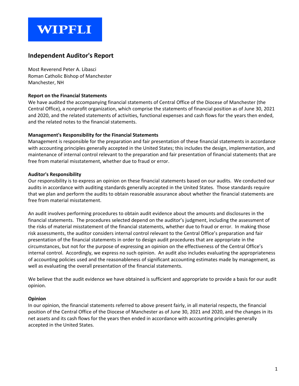# **WIPFLI**

#### **Independent Auditor's Report**

Most Reverend Peter A. Libasci Roman Catholic Bishop of Manchester Manchester, NH

#### **Report on the Financial Statements**

We have audited the accompanying financial statements of Central Office of the Diocese of Manchester (the Central Office), a nonprofit organization, which comprise the statements of financial position as of June 30, 2021 and 2020, and the related statements of activities, functional expenses and cash flows for the years then ended, and the related notes to the financial statements.

#### **Management's Responsibility for the Financial Statements**

Management is responsible for the preparation and fair presentation of these financial statements in accordance with accounting principles generally accepted in the United States; this includes the design, implementation, and maintenance of internal control relevant to the preparation and fair presentation of financial statements that are free from material misstatement, whether due to fraud or error.

#### **Auditor's Responsibility**

Our responsibility is to express an opinion on these financial statements based on our audits. We conducted our audits in accordance with auditing standards generally accepted in the United States. Those standards require that we plan and perform the audits to obtain reasonable assurance about whether the financial statements are free from material misstatement.

An audit involves performing procedures to obtain audit evidence about the amounts and disclosures in the financial statements. The procedures selected depend on the auditor's judgment, including the assessment of the risks of material misstatement of the financial statements, whether due to fraud or error. In making those risk assessments, the auditor considers internal control relevant to the Central Office's preparation and fair presentation of the financial statements in order to design audit procedures that are appropriate in the circumstances, but not for the purpose of expressing an opinion on the effectiveness of the Central Office's internal control. Accordingly, we express no such opinion. An audit also includes evaluating the appropriateness of accounting policies used and the reasonableness of significant accounting estimates made by management, as well as evaluating the overall presentation of the financial statements.

We believe that the audit evidence we have obtained is sufficient and appropriate to provide a basis for our audit opinion.

#### **Opinion**

In our opinion, the financial statements referred to above present fairly, in all material respects, the financial position of the Central Office of the Diocese of Manchester as of June 30, 2021 and 2020, and the changes in its net assets and its cash flows for the years then ended in accordance with accounting principles generally accepted in the United States.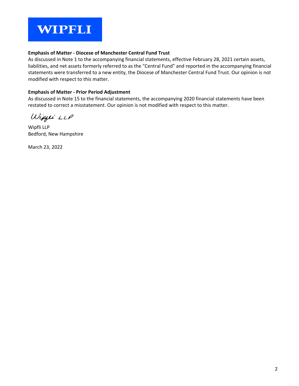

#### **Emphasis of Matter - Diocese of Manchester Central Fund Trust**

As discussed in Note 1 to the accompanying financial statements, effective February 28, 2021 certain assets, liabilities, and net assets formerly referred to as the "Central Fund" and reported in the accompanying financial statements were transferred to a new entity, the Diocese of Manchester Central Fund Trust. Our opinion is not modified with respect to this matter.

#### **Emphasis of Matter - Prior Period Adjustment**

As discussed in Note 15 to the financial statements, the accompanying 2020 financial statements have been restated to correct a misstatement. Our opinion is not modified with respect to this matter.

Wippi LLP

Wipfli LLP Bedford, New Hampshire

March 23, 2022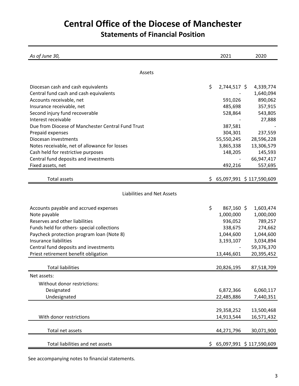## **Central Office of the Diocese of Manchester**

### **Statements of Financial Position**

| As of June 30,                                    |    | 2021         | 2020                     |
|---------------------------------------------------|----|--------------|--------------------------|
| Assets                                            |    |              |                          |
|                                                   |    |              |                          |
| Diocesan cash and cash equivalents                | \$ | 2,744,517 \$ | 4,339,774                |
| Central fund cash and cash equivalents            |    |              | 1,640,094                |
| Accounts receivable, net                          |    | 591,026      | 890,062                  |
| Insurance receivable, net                         |    | 485,698      | 357,915                  |
| Second injury fund recoverable                    |    | 528,864      | 543,805                  |
| Interest receivable                               |    |              | 27,888                   |
| Due from Diocese of Manchester Central Fund Trust |    | 387,581      |                          |
| Prepaid expenses                                  |    | 304,301      | 237,559                  |
| Diocesan investments                              |    | 55,550,245   | 28,596,228               |
| Notes receivable, net of allowance for losses     |    | 3,865,338    | 13,306,579               |
| Cash held for restrictive purposes                |    | 148,205      | 145,593                  |
| Central fund deposits and investments             |    |              | 66,947,417               |
| Fixed assets, net                                 |    | 492,216      | 557,695                  |
| <b>Total assets</b>                               | S. |              | 65,097,991 \$117,590,609 |
| Liabilities and Net Assets                        |    |              |                          |
|                                                   |    |              |                          |
| Accounts payable and accrued expenses             | \$ | 867,160 \$   | 1,603,474                |
| Note payable                                      |    | 1,000,000    | 1,000,000                |
| Reserves and other liabilities                    |    | 936,052      | 789,257                  |
| Funds held for others- special collections        |    | 338,675      | 274,662                  |
| Paycheck protection program loan (Note 8)         |    | 1,044,600    | 1,044,600                |
| Insurance liabilities                             |    | 3,193,107    | 3,034,894                |
| Central fund deposits and investments             |    |              | 59,376,370               |
| Priest retirement benefit obligation              |    | 13,446,601   | 20,395,452               |
| <b>Total liabilities</b>                          |    | 20,826,195   | 87,518,709               |
| Net assets:                                       |    |              |                          |
| Without donor restrictions:                       |    |              |                          |
| Designated                                        |    | 6,872,366    | 6,060,117                |
| Undesignated                                      |    | 22,485,886   | 7,440,351                |
|                                                   |    |              |                          |
|                                                   |    | 29,358,252   | 13,500,468               |
| With donor restrictions                           |    | 14,913,544   | 16,571,432               |
| Total net assets                                  |    | 44,271,796   | 30,071,900               |
| Total liabilities and net assets                  | \$ |              | 65,097,991 \$117,590,609 |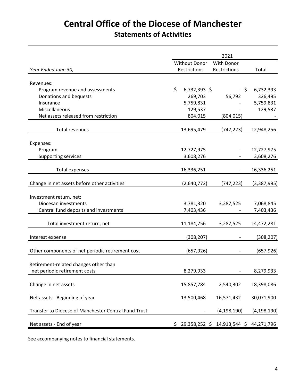### **Central Office of the Diocese of Manchester Statements of Activities**

|                                                      |                      | 2021                                   |               |
|------------------------------------------------------|----------------------|----------------------------------------|---------------|
|                                                      | <b>Without Donor</b> | <b>With Donor</b>                      |               |
| Year Ended June 30,                                  | Restrictions         | Restrictions                           | Total         |
| Revenues:                                            |                      |                                        |               |
| Program revenue and assessments                      | \$<br>$6,732,393$ \$ | $-5$                                   | 6,732,393     |
| Donations and bequests                               | 269,703              | 56,792                                 | 326,495       |
| Insurance                                            | 5,759,831            |                                        | 5,759,831     |
| Miscellaneous                                        | 129,537              |                                        | 129,537       |
| Net assets released from restriction                 | 804,015              | (804, 015)                             |               |
| Total revenues                                       | 13,695,479           | (747, 223)                             | 12,948,256    |
| Expenses:                                            |                      |                                        |               |
| Program                                              | 12,727,975           |                                        | 12,727,975    |
| Supporting services                                  | 3,608,276            |                                        | 3,608,276     |
| <b>Total expenses</b>                                | 16,336,251           |                                        | 16,336,251    |
| Change in net assets before other activities         | (2,640,772)          | (747, 223)                             | (3,387,995)   |
| Investment return, net:                              |                      |                                        |               |
| Diocesan investments                                 | 3,781,320            | 3,287,525                              | 7,068,845     |
| Central fund deposits and investments                | 7,403,436            |                                        | 7,403,436     |
| Total investment return, net                         | 11,184,756           | 3,287,525                              | 14,472,281    |
| Interest expense                                     | (308, 207)           |                                        | (308, 207)    |
| Other components of net periodic retirement cost     | (657, 926)           |                                        | (657, 926)    |
| Retirement-related changes other than                |                      |                                        |               |
| net periodic retirement costs                        | 8,279,933            |                                        | 8,279,933     |
| Change in net assets                                 | 15,857,784           | 2,540,302                              | 18,398,086    |
| Net assets - Beginning of year                       | 13,500,468           | 16,571,432                             | 30,071,900    |
| Transfer to Diocese of Manchester Central Fund Trust |                      | (4, 198, 190)                          | (4, 198, 190) |
| Net assets - End of year                             | \$.                  | 29,358,252 \$ 14,913,544 \$ 44,271,796 |               |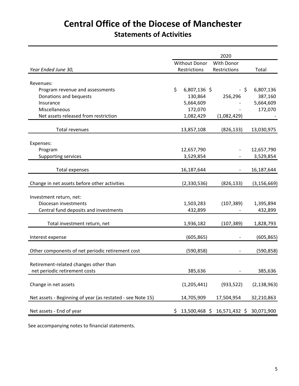### **Central Office of the Diocese of Manchester Statements of Activities**

|                                                            |                      | 2020          |               |
|------------------------------------------------------------|----------------------|---------------|---------------|
|                                                            | <b>Without Donor</b> | With Donor    |               |
| Year Ended June 30,                                        | Restrictions         | Restrictions  | Total         |
|                                                            |                      |               |               |
| Revenues:                                                  |                      |               |               |
| Program revenue and assessments                            | \$<br>6,807,136 \$   | - \$          | 6,807,136     |
| Donations and bequests                                     | 130,864              | 256,296       | 387,160       |
| Insurance                                                  | 5,664,609            |               | 5,664,609     |
| Miscellaneous                                              | 172,070              |               | 172,070       |
| Net assets released from restriction                       | 1,082,429            | (1,082,429)   |               |
| <b>Total revenues</b>                                      | 13,857,108           | (826, 133)    | 13,030,975    |
|                                                            |                      |               |               |
| Expenses:                                                  |                      |               |               |
| Program                                                    | 12,657,790           |               | 12,657,790    |
| Supporting services                                        | 3,529,854            |               | 3,529,854     |
|                                                            |                      |               |               |
| <b>Total expenses</b>                                      | 16,187,644           |               | 16,187,644    |
| Change in net assets before other activities               | (2,330,536)          | (826, 133)    | (3, 156, 669) |
|                                                            |                      |               |               |
| Investment return, net:                                    |                      |               |               |
| Diocesan investments                                       | 1,503,283            | (107, 389)    | 1,395,894     |
| Central fund deposits and investments                      | 432,899              |               | 432,899       |
| Total investment return, net                               | 1,936,182            | (107, 389)    | 1,828,793     |
|                                                            |                      |               |               |
| Interest expense                                           | (605, 865)           |               | (605, 865)    |
| Other components of net periodic retirement cost           | (590, 858)           |               | (590, 858)    |
|                                                            |                      |               |               |
| Retirement-related changes other than                      |                      |               |               |
| net periodic retirement costs                              | 385,636              |               | 385,636       |
| Change in net assets                                       | (1, 205, 441)        | (933, 522)    | (2, 138, 963) |
| Net assets - Beginning of year (as restated - see Note 15) | 14,705,909           | 17,504,954    | 32,210,863    |
| Net assets - End of year                                   | 13,500,468 \$<br>Ş.  | 16,571,432 \$ | 30,071,900    |
|                                                            |                      |               |               |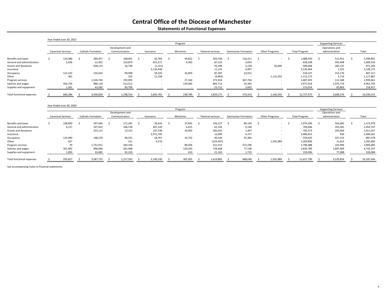#### **Central Office of the Diocese of Manchester**

#### **Statements of Functional Expenses**

|                            | Year Ended June 30, 2021  |                           |                                  |           | Program    |                   |                      |                |                      | <b>Supporting Services</b>       |            |
|----------------------------|---------------------------|---------------------------|----------------------------------|-----------|------------|-------------------|----------------------|----------------|----------------------|----------------------------------|------------|
|                            | <b>Canonical Services</b> | <b>Catholic Formation</b> | Development and<br>Communication | Insurance | Ministries | Pastoral services | Seminarian Formation | Other Programs | <b>Total Program</b> | Operations and<br>administration | Total      |
| Benefits and taxes         | 124,380                   | 289,457                   | 168,061                          | 42,783    | 44,822     | 302,536           | 116,311              |                | 1,088,350            | 511,451                          | 1,599,801  |
| General and administrative | 5,926                     | 12,392                    | 123,879                          | 421,271   | 4,363      | 87,223            | 3,054                |                | 658,108              | 342,448                          | 1,000,556  |
| Grants and donations       |                           | 428,114                   | 16,738                           | (1, 221)  |            | 93,209            | 2,228                | 50,000         | 589,068              | 282,137                          | 871,205    |
| Insurance                  |                           |                           |                                  | 3,110,436 |            | 11,131            | 4,997                |                | 3,126,564            | 1,551                            | 3,128,115  |
| Occupancy                  | 121,532                   | 150,424                   | 99,498                           | 18,335    | 32,859     | 87,587            | 23,912               |                | 534,147              | 313,170                          | 847,317    |
| Other                      | 361                       |                           | 225                              | 11,158    |            | (9,863)           |                      | 1,110,292      | 1,112,173            | 5,714                            | 1,117,887  |
| Program services           |                           | 1,526,740                 | 192,905                          |           | 27,160     | 372,924           | 367,764              |                | 2,487,493            | 112,168                          | 2,599,661  |
| Salaries and wages         | 426,726                   | 986,118                   | 513,512                          |           | 129,585    | 865,712           | 55,365               |                | 2,977,018            | 1,975,774                        | 4,952,792  |
| Supplies and equipment     | 1,361                     | 43,583                    | 83,706                           |           |            | 23,712            | 2,692                |                | 155,054              | 63,863                           | 218,917    |
| Total functional expenses  | 680,286                   | 3,436,828                 | 1,198,524                        | 3,602,762 | 238,789    | 1,834,171         | 576,323              | 1,160,292      | 12,727,975           | 3,608,276                        | 16,336,251 |

#### Year Ended June 30, 2020 Program **Supporting Services** Development and Operations and **Canonical Services** Catholic Formation Communication Insurance Ministries Pastoral services Seminarian Formation Other Programs **Total Program** administration Total Benefits and taxes  $\ddot{\varsigma}$ 108,669  $\dot{\mathsf{s}}$ 297,446  $\mathsf{S}$ 171,281  $\zeta$ 39,634  $\ddot{\mathsf{s}}$ 37,845  $\dot{\mathsf{s}}$ 326,227  $\dot{\mathsf{s}}$ 89,194  $\boldsymbol{\mathsf{S}}$  $\mathsf{s}$ 1,070,296  $\ddot{\mathsf{S}}$ 502,682  $\dot{\mathsf{s}}$ 1,572,978  $\overline{\phantom{a}}$ General and administrative 6,727 107,453 106,158 407,220 6,615 61,145 9,148 704,466 355,281 1,059,747 253,112 13,152 197,538 16,903 283,261 1,407 765,373 245,664 1,011,037 Grants and donations  $\overline{\phantom{a}}$ Insurance 2,472,795 12,099 4,757 2,489,651 930 2,490,581 125,990 168,278 90,231 33,732 90,544 32,383 559,925 337,153 897,078 Occupancy 18,767 Other 427 311 4,576  $(224, 497)$ 1,502,989 1,283,806 11,653 1,295,460 1,731,912 183,104 89,594 472,296 2,798,488 101,994 2,900,482 Program services 29 ł, 321,553 Salaries and wages 351,992 996,040 561,048 120,203 728,368 77,138 2,834,789 1,897,409 4,732,197 33,482 21,163 150,996 Supplies and equipment 1,993 92,220 413 1,725 77,088 228,084 **Total functional expenses** 595,827 3,587,723 1,217,505 3,140,530 305,305 1,619,863 688,048 1,502,989 12,657,790 3,529,854 16,187,644  $\mathsf{\hat{S}}$ S,  $\dot{\mathsf{s}}$  $\dot{\mathsf{s}}$ \$ -S

 $6\phantom{a}$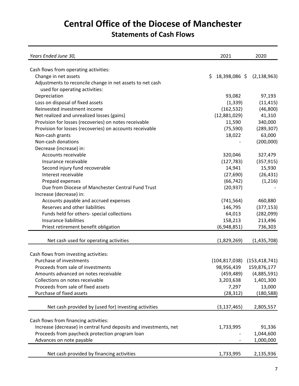## **Central Office of the Diocese of Manchester**

### **Statements of Cash Flows**

| Years Ended June 30,                                                    | 2021          | 2020                                |
|-------------------------------------------------------------------------|---------------|-------------------------------------|
| Cash flows from operating activities:                                   |               |                                     |
| Change in net assets                                                    | \$            | 18,398,086 \$ (2,138,963)           |
| Adjustments to reconcile change in net assets to net cash               |               |                                     |
| used for operating activities:                                          |               |                                     |
| Depreciation                                                            | 93,082        | 97,193                              |
| Loss on disposal of fixed assets                                        | (1, 339)      | (11, 415)                           |
| Reinvested investment income                                            | (162, 532)    | (46, 800)                           |
| Net realized and unrealized losses (gains)                              | (12,881,029)  | 41,310                              |
| Provision for losses (recoveries) on notes receivable                   | 11,590        | 340,000                             |
| Provision for losses (recoveries) on accounts receivable                | (75, 590)     | (289, 307)                          |
| Non-cash grants                                                         | 18,022        | 63,000                              |
| Non-cash donations                                                      |               | (200,000)                           |
| Decrease (increase) in:                                                 |               |                                     |
| Accounts receivable                                                     | 320,046       | 327,479                             |
| Insurance receivable                                                    | (127, 783)    | (357, 915)                          |
| Second injury fund recoverable                                          | 14,941        | 15,930                              |
| Interest receivable                                                     | (27, 690)     | (26, 431)                           |
| Prepaid expenses                                                        | (66, 742)     | (1,216)                             |
| Due from Diocese of Manchester Central Fund Trust                       | (20, 937)     |                                     |
| Increase (decrease) in:                                                 |               |                                     |
| Accounts payable and accrued expenses                                   | (741, 564)    | 460,880                             |
| Reserves and other liabilities                                          | 146,795       | (377, 153)                          |
| Funds held for others- special collections                              | 64,013        | (282,099)                           |
| Insurance liabilities                                                   | 158,213       | 213,496                             |
| Priest retirement benefit obligation                                    | (6,948,851)   | 736,303                             |
| Net cash used for operating activities                                  | (1,829,269)   | (1,435,708)                         |
|                                                                         |               |                                     |
| Cash flows from investing activities:                                   |               |                                     |
| Purchase of investments<br>Proceeds from sale of investments            |               | $(104, 817, 038)$ $(153, 418, 741)$ |
|                                                                         |               | 98,956,439 159,876,177              |
| Amounts advanced on notes receivable<br>Collections on notes receivable | (459, 489)    | (4,885,591)<br>1,401,300            |
| Proceeds from sale of fixed assets                                      | 3,203,638     | 13,000                              |
| Purchase of fixed assets                                                | 7,297         |                                     |
|                                                                         | (28, 312)     | (180, 588)                          |
| Net cash provided by (used for) investing activities                    | (3, 137, 465) | 2,805,557                           |
|                                                                         |               |                                     |
| Cash flows from financing activities:                                   |               |                                     |
| Increase (decrease) in central fund deposits and investments, net       | 1,733,995     | 91,336                              |
| Proceeds from paycheck protection program loan                          |               | 1,044,600                           |
| Advances on note payable                                                |               | 1,000,000                           |
| Net cash provided by financing activities                               | 1,733,995     | 2,135,936                           |
|                                                                         |               |                                     |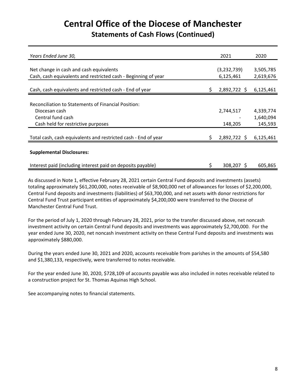### **Central Office of the Diocese of Manchester Statements of Cash Flows (Continued)**

| Years Ended June 30,                                           |    | 2021          | 2020      |
|----------------------------------------------------------------|----|---------------|-----------|
|                                                                |    |               |           |
| Net change in cash and cash equivalents                        |    | (3, 232, 739) | 3,505,785 |
| Cash, cash equivalents and restricted cash - Beginning of year |    | 6,125,461     | 2,619,676 |
|                                                                |    |               |           |
| Cash, cash equivalents and restricted cash - End of year       | \$ | 2,892,722 \$  | 6,125,461 |
|                                                                |    |               |           |
| <b>Reconciliation to Statements of Financial Position:</b>     |    |               |           |
| Diocesan cash                                                  |    | 2,744,517     | 4,339,774 |
| Central fund cash                                              |    |               | 1,640,094 |
| Cash held for restrictive purposes                             |    | 148,205       | 145,593   |
|                                                                |    |               |           |
| Total cash, cash equivalents and restricted cash - End of year | S. | 2,892,722 \$  | 6,125,461 |
|                                                                |    |               |           |
| <b>Supplemental Disclosures:</b>                               |    |               |           |
|                                                                |    |               |           |
| Interest paid (including interest paid on deposits payable)    | \$ | 308,207 \$    | 605,865   |

As discussed in Note 1, effective February 28, 2021 certain Central Fund deposits and investments (assets) totaling approximately \$61,200,000, notes receivable of \$8,900,000 net of allowances for losses of \$2,200,000, Central Fund deposits and investments (liabilities) of \$63,700,000, and net assets with donor restrictions for Central Fund Trust participant entities of approximately \$4,200,000 were transferred to the Diocese of Manchester Central Fund Trust.

For the period of July 1, 2020 through February 28, 2021, prior to the transfer discussed above, net noncash investment activity on certain Central Fund deposits and investments was approximately \$2,700,000. For the year ended June 30, 2020, net noncash investment activity on these Central Fund deposits and investments was approximately \$880,000.

During the years ended June 30, 2021 and 2020, accounts receivable from parishes in the amounts of \$54,580 and \$1,380,133, respectively, were transferred to notes receivable.

For the year ended June 30, 2020, \$728,109 of accounts payable was also included in notes receivable related to a construction project for St. Thomas Aquinas High School.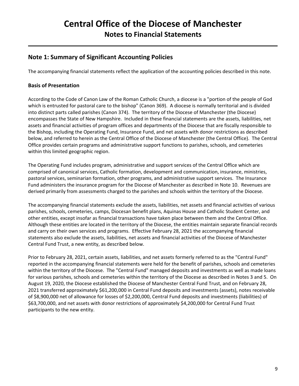#### **Note 1: Summary of Significant Accounting Policies**

The accompanying financial statements reflect the application of the accounting policies described in this note.

#### **Basis of Presentation**

According to the Code of Canon Law of the Roman Catholic Church, a diocese is a "portion of the people of God which is entrusted for pastoral care to the bishop" (Canon 369). A diocese is normally territorial and is divided into distinct parts called parishes (Canon 374). The territory of the Diocese of Manchester (the Diocese) encompasses the State of New Hampshire. Included in these financial statements are the assets, liabilities, net assets and financial activities of program offices and departments of the Diocese that are fiscally responsible to the Bishop, including the Operating Fund, Insurance Fund, and net assets with donor restrictions as described below, and referred to herein as the Central Office of the Diocese of Manchester (the Central Office). The Central Office provides certain programs and administrative support functions to parishes, schools, and cemeteries within this limited geographic region.

The Operating Fund includes program, administrative and support services of the Central Office which are comprised of canonical services, Catholic formation, development and communication, insurance, ministries, pastoral services, seminarian formation, other programs, and administrative support services. The Insurance Fund administers the insurance program for the Diocese of Manchester as described in Note 10. Revenues are derived primarily from assessments charged to the parishes and schools within the territory of the Diocese.

The accompanying financial statements exclude the assets, liabilities, net assets and financial activities of various parishes, schools, cemeteries, camps, Diocesan benefit plans, Aquinas House and Catholic Student Center, and other entities, except insofar as financial transactions have taken place between them and the Central Office. Although these entities are located in the territory of the Diocese, the entities maintain separate financial records and carry on their own services and programs. Effective February 28, 2021 the accompanying financial statements also exclude the assets, liabilities, net assets and financial activities of the Diocese of Manchester Central Fund Trust, a new entity, as described below.

Prior to February 28, 2021, certain assets, liabilities, and net assets formerly referred to as the "Central Fund" reported in the accompanying financial statements were held for the benefit of parishes, schools and cemeteries within the territory of the Diocese. The "Central Fund" managed deposits and investments as well as made loans for various parishes, schools and cemeteries within the territory of the Diocese as described in Notes 3 and 5. On August 19, 2020, the Diocese established the Diocese of Manchester Central Fund Trust, and on February 28, 2021 transferred approximately \$61,200,000 in Central Fund deposits and investments (assets), notes receivable of \$8,900,000 net of allowance for losses of \$2,200,000, Central Fund deposits and investments (liabilities) of \$63,700,000, and net assets with donor restrictions of approximately \$4,200,000 for Central Fund Trust participants to the new entity.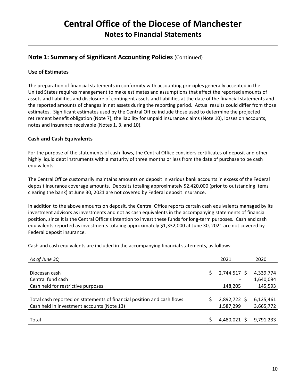#### **Note 1: Summary of Significant Accounting Policies** (Continued)

#### **Use of Estimates**

The preparation of financial statements in conformity with accounting principles generally accepted in the United States requires management to make estimates and assumptions that affect the reported amounts of assets and liabilities and disclosure of contingent assets and liabilities at the date of the financial statements and the reported amounts of changes in net assets during the reporting period. Actual results could differ from those estimates. Significant estimates used by the Central Office include those used to determine the projected retirement benefit obligation (Note 7), the liability for unpaid insurance claims (Note 10), losses on accounts, notes and insurance receivable (Notes 1, 3, and 10).

#### **Cash and Cash Equivalents**

For the purpose of the statements of cash flows, the Central Office considers certificates of deposit and other highly liquid debt instruments with a maturity of three months or less from the date of purchase to be cash equivalents.

The Central Office customarily maintains amounts on deposit in various bank accounts in excess of the Federal deposit insurance coverage amounts. Deposits totaling approximately \$2,420,000 (prior to outstanding items clearing the bank) at June 30, 2021 are not covered by Federal deposit insurance.

In addition to the above amounts on deposit, the Central Office reports certain cash equivalents managed by its investment advisors as investments and not as cash equivalents in the accompanying statements of financial position, since it is the Central Office's intention to invest these funds for long-term purposes. Cash and cash equivalents reported as investments totaling approximately \$1,332,000 at June 30, 2021 are not covered by Federal deposit insurance.

Cash and cash equivalents are included in the accompanying financial statements, as follows:

| As of June 30,                                                         |   | 2021         | 2020      |
|------------------------------------------------------------------------|---|--------------|-----------|
|                                                                        |   |              |           |
| Diocesan cash                                                          |   | 2,744,517 \$ | 4,339,774 |
| Central fund cash                                                      |   |              | 1,640,094 |
| Cash held for restrictive purposes                                     |   | 148,205      | 145,593   |
|                                                                        |   |              |           |
| Total cash reported on statements of financial position and cash flows |   | 2,892,722 \$ | 6,125,461 |
| Cash held in investment accounts (Note 13)                             |   | 1,587,299    | 3,665,772 |
|                                                                        |   |              |           |
| Total                                                                  | ς | 4,480,021    | 9,791,233 |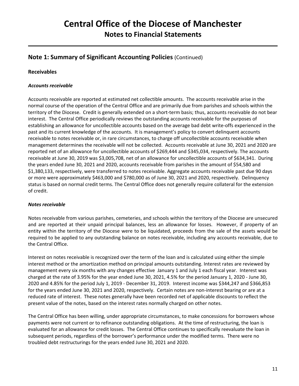#### **Note 1: Summary of Significant Accounting Policies** (Continued)

#### **Receivables**

#### *Accounts receivable*

Accounts receivable are reported at estimated net collectible amounts. The accounts receivable arise in the normal course of the operation of the Central Office and are primarily due from parishes and schools within the territory of the Diocese. Credit is generally extended on a short-term basis; thus, accounts receivable do not bear interest. The Central Office periodically reviews the outstanding accounts receivable for the purposes of establishing an allowance for uncollectible accounts based on the average bad debt write-offs experienced in the past and its current knowledge of the accounts. It is management's policy to convert delinquent accounts receivable to notes receivable or, in rare circumstances, to charge off uncollectible accounts receivable when management determines the receivable will not be collected. Accounts receivable at June 30, 2021 and 2020 are reported net of an allowance for uncollectible accounts of \$269,444 and \$345,034, respectively. The accounts receivable at June 30, 2019 was \$3,005,708, net of an allowance for uncollectible accounts of \$634,341. During the years ended June 30, 2021 and 2020, accounts receivable from parishes in the amount of \$54,580 and \$1,380,133, respectively, were transferred to notes receivable. Aggregate accounts receivable past due 90 days or more were approximately \$463,000 and \$780,000 as of June 30, 2021 and 2020, respectively. Delinquency status is based on normal credit terms. The Central Office does not generally require collateral for the extension of credit.

#### *Notes receivable*

Notes receivable from various parishes, cemeteries, and schools within the territory of the Diocese are unsecured and are reported at their unpaid principal balances, less an allowance for losses. However, if property of an entity within the territory of the Diocese were to be liquidated, proceeds from the sale of the assets would be required to be applied to any outstanding balance on notes receivable, including any accounts receivable, due to the Central Office.

Interest on notes receivable is recognized over the term of the loan and is calculated using either the simple interest method or the amortization method on principal amounts outstanding. Interest rates are reviewed by management every six months with any changes effective January 1 and July 1 each fiscal year. Interest was charged at the rate of 3.95% for the year ended June 30, 2021, 4.5% for the period January 1, 2020 - June 30, 2020 and 4.85% for the period July 1, 2019 - December 31, 2019. Interest income was \$344,247 and \$366,853 for the years ended June 30, 2021 and 2020, respectively. Certain notes are non-interest bearing or are at a reduced rate of interest. These notes generally have been recorded net of applicable discounts to reflect the present value of the notes, based on the interest rates normally charged on other notes.

The Central Office has been willing, under appropriate circumstances, to make concessions for borrowers whose payments were not current or to refinance outstanding obligations. At the time of restructuring, the loan is evaluated for an allowance for credit losses. The Central Office continues to specifically reevaluate the loan in subsequent periods, regardless of the borrower's performance under the modified terms. There were no troubled debt restructurings for the years ended June 30, 2021 and 2020.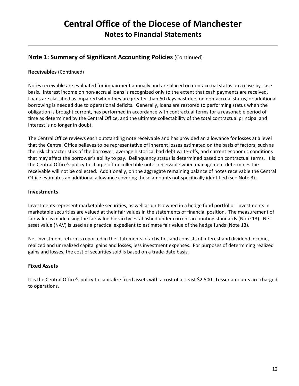#### **Note 1: Summary of Significant Accounting Policies** (Continued)

#### **Receivables** (Continued)

Notes receivable are evaluated for impairment annually and are placed on non-accrual status on a case-by-case basis. Interest income on non-accrual loans is recognized only to the extent that cash payments are received. Loans are classified as impaired when they are greater than 60 days past due, on non-accrual status, or additional borrowing is needed due to operational deficits. Generally, loans are restored to performing status when the obligation is brought current, has performed in accordance with contractual terms for a reasonable period of time as determined by the Central Office, and the ultimate collectability of the total contractual principal and interest is no longer in doubt.

The Central Office reviews each outstanding note receivable and has provided an allowance for losses at a level that the Central Office believes to be representative of inherent losses estimated on the basis of factors, such as the risk characteristics of the borrower, average historical bad debt write-offs, and current economic conditions that may affect the borrower's ability to pay. Delinquency status is determined based on contractual terms. It is the Central Office's policy to charge off uncollectible notes receivable when management determines the receivable will not be collected. Additionally, on the aggregate remaining balance of notes receivable the Central Office estimates an additional allowance covering those amounts not specifically identified (see Note 3).

#### **Investments**

Investments represent marketable securities, as well as units owned in a hedge fund portfolio. Investments in marketable securities are valued at their fair values in the statements of financial position. The measurement of fair value is made using the fair value hierarchy established under current accounting standards (Note 13). Net asset value (NAV) is used as a practical expedient to estimate fair value of the hedge funds (Note 13).

Net investment return is reported in the statements of activities and consists of interest and dividend income, realized and unrealized capital gains and losses, less investment expenses. For purposes of determining realized gains and losses, the cost of securities sold is based on a trade-date basis.

#### **Fixed Assets**

It is the Central Office's policy to capitalize fixed assets with a cost of at least \$2,500. Lesser amounts are charged to operations.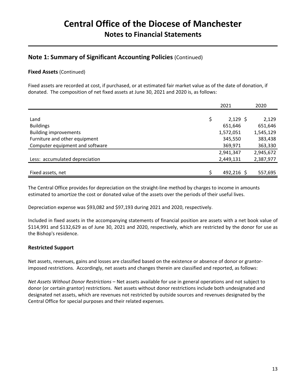#### **Note 1: Summary of Significant Accounting Policies** (Continued)

#### **Fixed Assets** (Continued)

Fixed assets are recorded at cost, if purchased, or at estimated fair market value as of the date of donation, if donated. The composition of net fixed assets at June 30, 2021 and 2020 is, as follows:

|                                 | 2021             | 2020      |
|---------------------------------|------------------|-----------|
|                                 |                  |           |
| Land                            | \$<br>$2,129$ \$ | 2,129     |
| <b>Buildings</b>                | 651,646          | 651,646   |
| <b>Building improvements</b>    | 1,572,051        | 1,545,129 |
| Furniture and other equipment   | 345,550          | 383,438   |
| Computer equipment and software | 369,971          | 363,330   |
|                                 | 2,941,347        | 2,945,672 |
| Less: accumulated depreciation  | 2,449,131        | 2,387,977 |
|                                 |                  |           |
| Fixed assets, net               | $492,216$ \$     | 557,695   |

The Central Office provides for depreciation on the straight-line method by charges to income in amounts estimated to amortize the cost or donated value of the assets over the periods of their useful lives.

Depreciation expense was \$93,082 and \$97,193 during 2021 and 2020, respectively.

Included in fixed assets in the accompanying statements of financial position are assets with a net book value of \$114,991 and \$132,629 as of June 30, 2021 and 2020, respectively, which are restricted by the donor for use as the Bishop's residence.

#### **Restricted Support**

Net assets, revenues, gains and losses are classified based on the existence or absence of donor or grantorimposed restrictions. Accordingly, net assets and changes therein are classified and reported, as follows:

*Net Assets Without Donor Restrictions* – Net assets available for use in general operations and not subject to donor (or certain grantor) restrictions. Net assets without donor restrictions include both undesignated and designated net assets, which are revenues not restricted by outside sources and revenues designated by the Central Office for special purposes and their related expenses.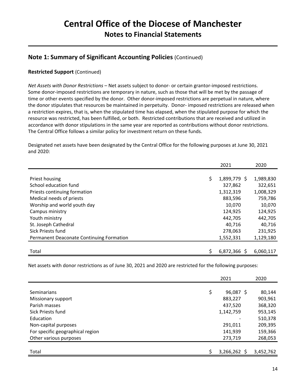#### **Note 1: Summary of Significant Accounting Policies** (Continued)

#### **Restricted Support** (Continued)

*Net Assets with Donor Restrictions* – Net assets subject to donor- or certain grantor-imposed restrictions. Some donor-imposed restrictions are temporary in nature, such as those that will be met by the passage of time or other events specified by the donor. Other donor-imposed restrictions are perpetual in nature, where the donor stipulates that resources be maintained in perpetuity. Donor- imposed restrictions are released when a restriction expires, that is, when the stipulated time has elapsed, when the stipulated purpose for which the resource was restricted, has been fulfilled, or both. Restricted contributions that are received and utilized in accordance with donor stipulations in the same year are reported as contributions without donor restrictions. The Central Office follows a similar policy for investment return on these funds.

Designated net assets have been designated by the Central Office for the following purposes at June 30, 2021 and 2020:

|                                          | 2021                 | 2020      |
|------------------------------------------|----------------------|-----------|
|                                          |                      |           |
| Priest housing                           | \$<br>1,899,779 \$   | 1,989,830 |
| School education fund                    | 327,862              | 322,651   |
| Priests continuing formation             | 1,312,319            | 1,008,329 |
| Medical needs of priests                 | 883,596              | 759,786   |
| Worship and world youth day              | 10,070               | 10,070    |
| Campus ministry                          | 124,925              | 124,925   |
| Youth ministry                           | 442,705              | 442,705   |
| St. Joseph Cathedral                     | 40,716               | 40,716    |
| Sick Priests fund                        | 278,063              | 231,925   |
| Permanent Deaconate Continuing Formation | 1,552,331            | 1,129,180 |
|                                          |                      |           |
| Total                                    | \$<br>$6,872,366$ \$ | 6,060,117 |

Net assets with donor restrictions as of June 30, 2021 and 2020 are restricted for the following purposes:

|                                  | 2021                 | 2020      |
|----------------------------------|----------------------|-----------|
|                                  |                      |           |
| <b>Seminarians</b>               | \$<br>$96,087$ \$    | 80,144    |
| Missionary support               | 883,227              | 903,961   |
| Parish masses                    | 437,520              | 368,320   |
| Sick Priests fund                | 1,142,759            | 953,145   |
| Education                        |                      | 510,378   |
| Non-capital purposes             | 291,011              | 209,395   |
| For specific geographical region | 141,939              | 159,366   |
| Other various purposes           | 273,719              | 268,053   |
|                                  |                      |           |
| Total                            | \$<br>$3,266,262$ \$ | 3,452,762 |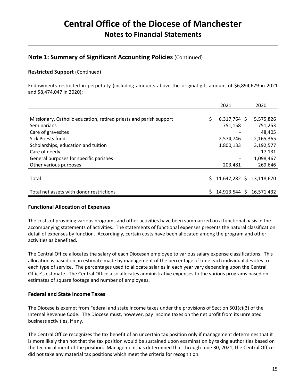#### **Note 1: Summary of Significant Accounting Policies** (Continued)

#### **Restricted Support** (Continued)

Endowments restricted in perpetuity (including amounts above the original gift amount of \$6,894,679 in 2021 and \$8,474,047 in 2020):

|                                                                    |     | 2021                     | 2020       |
|--------------------------------------------------------------------|-----|--------------------------|------------|
|                                                                    |     |                          |            |
| Missionary, Catholic education, retired priests and parish support | Ś   | $6,317,764$ \$           | 5,575,826  |
| Seminarians                                                        |     | 751,158                  | 751,253    |
| Care of gravesites                                                 |     |                          | 48,405     |
| Sick Priests fund                                                  |     | 2,574,746                | 2,165,365  |
| Scholarships, education and tuition                                |     | 1,800,133                | 3,192,577  |
| Care of needy                                                      |     |                          | 17,131     |
| General purposes for specific parishes                             |     |                          | 1,098,467  |
| Other various purposes                                             |     | 203,481                  | 269,646    |
|                                                                    |     |                          |            |
| Total                                                              | \$. | 11,647,282 \$ 13,118,670 |            |
|                                                                    |     |                          |            |
| Total net assets with donor restrictions                           | S.  | 14,913,544 \$            | 16,571,432 |

#### **Functional Allocation of Expenses**

The costs of providing various programs and other activities have been summarized on a functional basis in the accompanying statements of activities. The statements of functional expenses presents the natural classification detail of expenses by function. Accordingly, certain costs have been allocated among the program and other activities as benefited.

The Central Office allocates the salary of each Diocesan employee to various salary expense classifications. This allocation is based on an estimate made by management of the percentage of time each individual devotes to each type of service. The percentages used to allocate salaries in each year vary depending upon the Central Office's estimate. The Central Office also allocates administrative expenses to the various programs based on estimates of square footage and number of employees.

#### **Federal and State Income Taxes**

The Diocese is exempt from Federal and state income taxes under the provisions of Section 501(c)(3) of the Internal Revenue Code. The Diocese must, however, pay income taxes on the net profit from its unrelated business activities, if any.

The Central Office recognizes the tax benefit of an uncertain tax position only if management determines that it is more likely than not that the tax position would be sustained upon examination by taxing authorities based on the technical merit of the position. Management has determined that through June 30, 2021, the Central Office did not take any material tax positions which meet the criteria for recognition.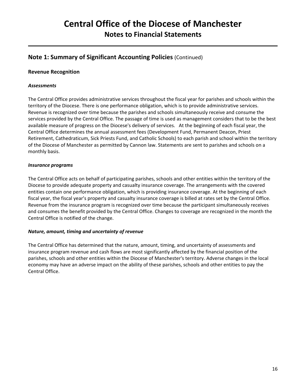#### **Note 1: Summary of Significant Accounting Policies** (Continued)

#### **Revenue Recognition**

#### *Assessments*

The Central Office provides administrative services throughout the fiscal year for parishes and schools within the territory of the Diocese. There is one performance obligation, which is to provide administrative services. Revenue is recognized over time because the parishes and schools simultaneously receive and consume the services provided by the Central Office. The passage of time is used as management considers that to be the best available measure of progress on the Diocese's delivery of services. At the beginning of each fiscal year, the Central Office determines the annual assessment fees (Development Fund, Permanent Deacon, Priest Retirement, Cathedraticum, Sick Priests Fund, and Catholic Schools) to each parish and school within the territory of the Diocese of Manchester as permitted by Cannon law. Statements are sent to parishes and schools on a monthly basis.

#### *Insurance programs*

The Central Office acts on behalf of participating parishes, schools and other entities within the territory of the Diocese to provide adequate property and casualty insurance coverage. The arrangements with the covered entities contain one performance obligation, which is providing insurance coverage. At the beginning of each fiscal year, the fiscal year's property and casualty insurance coverage is billed at rates set by the Central Office. Revenue from the insurance program is recognized over time because the participant simultaneously receives and consumes the benefit provided by the Central Office. Changes to coverage are recognized in the month the Central Office is notified of the change.

#### *Nature, amount, timing and uncertainty of revenue*

The Central Office has determined that the nature, amount, timing, and uncertainty of assessments and insurance program revenue and cash flows are most significantly affected by the financial position of the parishes, schools and other entities within the Diocese of Manchester's territory. Adverse changes in the local economy may have an adverse impact on the ability of these parishes, schools and other entities to pay the Central Office.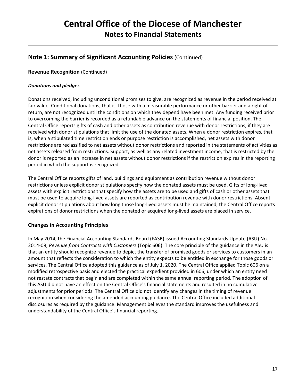#### **Note 1: Summary of Significant Accounting Policies** (Continued)

#### **Revenue Recognition** (Continued)

#### *Donations and pledges*

Donations received, including unconditional promises to give, are recognized as revenue in the period received at fair value. Conditional donations, that is, those with a measurable performance or other barrier and a right of return, are not recognized until the conditions on which they depend have been met. Any funding received prior to overcoming the barrier is recorded as a refundable advance on the statements of financial position. The Central Office reports gifts of cash and other assets as contribution revenue with donor restrictions, if they are received with donor stipulations that limit the use of the donated assets. When a donor restriction expires, that is, when a stipulated time restriction ends or purpose restriction is accomplished, net assets with donor restrictions are reclassified to net assets without donor restrictions and reported in the statements of activities as net assets released from restrictions. Support, as well as any related investment income, that is restricted by the donor is reported as an increase in net assets without donor restrictions if the restriction expires in the reporting period in which the support is recognized.

The Central Office reports gifts of land, buildings and equipment as contribution revenue without donor restrictions unless explicit donor stipulations specify how the donated assets must be used. Gifts of long-lived assets with explicit restrictions that specify how the assets are to be used and gifts of cash or other assets that must be used to acquire long-lived assets are reported as contribution revenue with donor restrictions. Absent explicit donor stipulations about how long those long-lived assets must be maintained, the Central Office reports expirations of donor restrictions when the donated or acquired long-lived assets are placed in service.

#### **Changes in Accounting Principles**

In May 2014, the Financial Accounting Standards Board (FASB) issued Accounting Standards Update (ASU) No. 2014-09, *Revenue from Contracts with Customers* (Topic 606). The core principle of the guidance in the ASU is that an entity should recognize revenue to depict the transfer of promised goods or services to customers in an amount that reflects the consideration to which the entity expects to be entitled in exchange for those goods or services. The Central Office adopted this guidance as of July 1, 2020. The Central Office applied Topic 606 on a modified retrospective basis and elected the practical expedient provided in 606, under which an entity need not restate contracts that begin and are completed within the same annual reporting period. The adoption of this ASU did not have an effect on the Central Office's financial statements and resulted in no cumulative adjustments for prior periods. The Central Office did not identify any changes in the timing of revenue recognition when considering the amended accounting guidance. The Central Office included additional disclosures as required by the guidance. Management believes the standard improves the usefulness and understandability of the Central Office's financial reporting.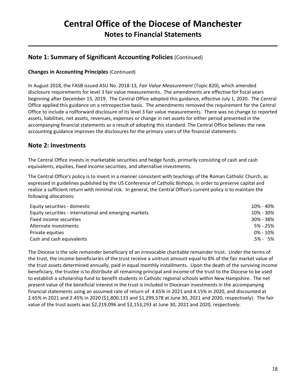#### **Note 1: Summary of Significant Accounting Policies** (Continued)

#### **Changes in Accounting Principles** (Continued)

In August 2018, the FASB issued ASU No. 2018-13, *Fair Value Measurement* (Topic 820), which amended disclosure requirements for level 3 fair value measurements. The amendments are effective for fiscal years beginning after December 15, 2019. The Central Office adopted this guidance, effective July 1, 2020. The Central Office applied this guidance on a retrospective basis. The amendments removed the requirement for the Central Office to include a rollforward disclosure of its level 3 fair value measurements. There was no change to reported assets, liabilities, net assets, revenues, expenses or change in net assets for either period presented in the accompanying financial statements as a result of adopting this standard. The Central Office believes the new accounting guidance improves the disclosures for the primary users of the financial statements.

#### **Note 2: Investments**

The Central Office invests in marketable securities and hedge funds, primarily consisting of cash and cash equivalents, equities, fixed income securities, and alternative investments.

The Central Office's policy is to invest in a manner consistent with teachings of the Roman Catholic Church, as expressed in guidelines published by the US Conference of Catholic Bishops, in order to preserve capital and realize a sufficient return with minimal risk. In general, the Central Office's current policy is to maintain the following allocations:

| Equity securities - domestic                           | 10% - 40%     |
|--------------------------------------------------------|---------------|
| Equity securities - international and emerging markets | 10% - 30%     |
| Fixed income securities                                | $30\% - 38\%$ |
| Alternate investments                                  | 5% - 25%      |
| Private equities                                       | $0\% - 10\%$  |
| Cash and cash equivalents                              | .5% - 5%      |

The Diocese is the sole remainder beneficiary of an irrevocable charitable remainder trust. Under the terms of the trust, the income beneficiaries of the trust receive a unitrust amount equal to 8% of the fair market value of the trust assets determined annually, paid in equal monthly installments. Upon the death of the surviving income beneficiary, the trustee is to distribute all remaining principal and income of the trust to the Diocese to be used to establish a scholarship fund to benefit students in Catholic regional schools within New Hampshire. The net present value of the beneficial interest in the trust is included in Diocesan investments in the accompanying financial statements using an assumed rate of return of 4.65% in 2021 and 4.15% in 2020, and discounted at 2.65% in 2021 and 2.45% in 2020 (\$1,800,133 and \$1,299,578 at June 30, 2021 and 2020, respectively). The fair value of the trust assets was \$2,219,096 and \$2,153,293 at June 30, 2021 and 2020, respectively.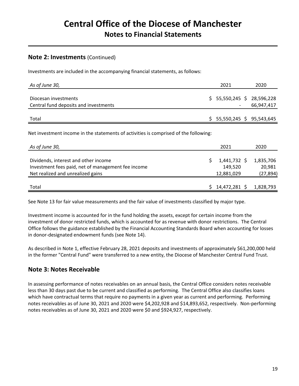#### **Note 2: Investments** (Continued)

Investments are included in the accompanying financial statements, as follows:

| $$5,5550,245$ $$28,596,228$ |
|-----------------------------|
| 66,947,417                  |
|                             |
| 55,550,245 \$ 95,543,645    |
|                             |
|                             |

| As of June 30,                                                                                                                  | 2021                                  | 2020                             |
|---------------------------------------------------------------------------------------------------------------------------------|---------------------------------------|----------------------------------|
| Dividends, interest and other income<br>Investment fees paid, net of management fee income<br>Net realized and unrealized gains | 1,441,732 \$<br>149,520<br>12,881,029 | 1,835,706<br>20,981<br>(27, 894) |
| Total                                                                                                                           | 14,472,281 \$ 1,828,793               |                                  |

See Note 13 for fair value measurements and the fair value of investments classified by major type.

Investment income is accounted for in the fund holding the assets, except for certain income from the investment of donor restricted funds, which is accounted for as revenue with donor restrictions. The Central Office follows the guidance established by the Financial Accounting Standards Board when accounting for losses in donor-designated endowment funds (see Note 14).

As described in Note 1, effective February 28, 2021 deposits and investments of approximately \$61,200,000 held in the former "Central Fund" were transferred to a new entity, the Diocese of Manchester Central Fund Trust.

#### **Note 3: Notes Receivable**

In assessing performance of notes receivables on an annual basis, the Central Office considers notes receivable less than 30 days past due to be current and classified as performing. The Central Office also classifies loans which have contractual terms that require no payments in a given year as current and performing. Performing notes receivables as of June 30, 2021 and 2020 were \$4,202,928 and \$14,893,652, respectively. Non-performing notes receivables as of June 30, 2021 and 2020 were \$0 and \$924,927, respectively.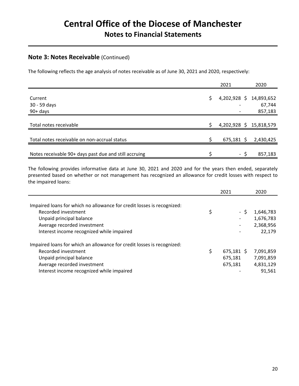#### **Note 3: Notes Receivable** (Continued)

The following reflects the age analysis of notes receivable as of June 30, 2021 and 2020, respectively:

|                                                       |    | 2021 | 2020                    |
|-------------------------------------------------------|----|------|-------------------------|
|                                                       |    |      |                         |
| Current                                               | \$ |      | 4,202,928 \$ 14,893,652 |
| 30 - 59 days                                          |    |      | 67,744                  |
| $90+$ days                                            |    |      | 857,183                 |
|                                                       |    |      |                         |
| Total notes receivable                                | Ŝ. |      | 4,202,928 \$ 15,818,579 |
|                                                       |    |      |                         |
| Total notes receivable on non-accrual status          |    |      | 675,181 \$ 2,430,425    |
|                                                       |    |      |                         |
| Notes receivable 90+ days past due and still accruing |    | - S  | 857,183                 |

The following provides informative data at June 30, 2021 and 2020 and for the years then ended, separately presented based on whether or not management has recognized an allowance for credit losses with respect to the impaired loans:

|                                                                        | 2021               | 2020      |
|------------------------------------------------------------------------|--------------------|-----------|
| Impaired loans for which no allowance for credit losses is recognized: |                    |           |
| Recorded investment                                                    | \$<br>- S          | 1,646,783 |
| Unpaid principal balance                                               |                    | 1,676,783 |
| Average recorded investment                                            |                    | 2,368,956 |
| Interest income recognized while impaired                              |                    | 22,179    |
| Impaired loans for which an allowance for credit losses is recognized: |                    |           |
| Recorded investment                                                    | \$<br>$675,181$ \$ | 7,091,859 |
| Unpaid principal balance                                               | 675,181            | 7,091,859 |
| Average recorded investment                                            | 675,181            | 4,831,129 |
| Interest income recognized while impaired                              |                    | 91.561    |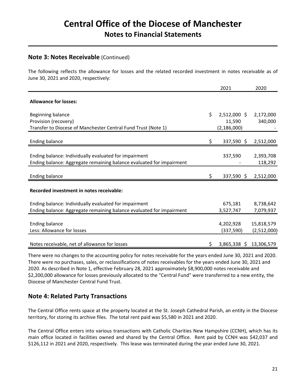#### **Note 3: Notes Receivable** (Continued)

The following reflects the allowance for losses and the related recorded investment in notes receivable as of June 30, 2021 and 2020, respectively:

|                                                                      |    | 2021           | 2020        |
|----------------------------------------------------------------------|----|----------------|-------------|
| <b>Allowance for losses:</b>                                         |    |                |             |
| Beginning balance                                                    | \$ | $2,512,000$ \$ | 2,172,000   |
| Provision (recovery)                                                 |    | 11,590         | 340,000     |
| Transfer to Diocese of Manchester Central Fund Trust (Note 1)        |    | (2, 186, 000)  |             |
|                                                                      |    |                |             |
| <b>Ending balance</b>                                                | \$ | 337,590 \$     | 2,512,000   |
|                                                                      |    |                |             |
| Ending balance: Individually evaluated for impairment                |    | 337,590        | 2,393,708   |
| Ending balance: Aggregate remaining balance evaluated for impairment |    |                | 118,292     |
|                                                                      |    |                |             |
| <b>Ending balance</b>                                                | \$ | 337,590 \$     | 2,512,000   |
| Recorded investment in notes receivable:                             |    |                |             |
| Ending balance: Individually evaluated for impairment                |    | 675,181        | 8,738,642   |
| Ending balance: Aggregate remaining balance evaluated for impairment |    | 3,527,747      | 7,079,937   |
|                                                                      |    |                |             |
| <b>Ending balance</b>                                                |    | 4,202,928      | 15,818,579  |
| Less: Allowance for losses                                           |    | (337, 590)     | (2,512,000) |
| Notes receivable, net of allowance for losses                        | S  | $3,865,338$ \$ | 13,306,579  |

There were no changes to the accounting policy for notes receivable for the years ended June 30, 2021 and 2020. There were no purchases, sales, or reclassifications of notes receivables for the years ended June 30, 2021 and 2020. As described in Note 1, effective February 28, 2021 approximately \$8,900,000 notes receivable and \$2,200,000 allowance for losses previously allocated to the "Central Fund" were transferred to a new entity, the Diocese of Manchester Central Fund Trust.

#### **Note 4: Related Party Transactions**

The Central Office rents space at the property located at the St. Joseph Cathedral Parish, an entity in the Diocese territory, for storing its archive files. The total rent paid was \$5,580 in 2021 and 2020.

The Central Office enters into various transactions with Catholic Charities New Hampshire (CCNH), which has its main office located in facilities owned and shared by the Central Office. Rent paid by CCNH was \$42,037 and \$126,112 in 2021 and 2020, respectively. This lease was terminated during the year ended June 30, 2021.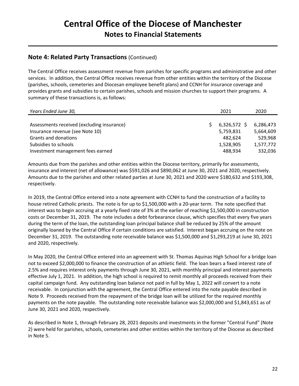#### **Note 4: Related Party Transactions** (Continued)

The Central Office receives assessment revenue from parishes for specific programs and administrative and other services. In addition, the Central Office receives revenue from other entities within the territory of the Diocese (parishes, schools, cemeteries and Diocesan employee benefit plans) and CCNH for insurance coverage and provides grants and subsidies to certain parishes, schools and mission churches to support their programs. A summary of these transactions is, as follows:

| Years Ended June 30,                       | 2021           | 2020      |
|--------------------------------------------|----------------|-----------|
|                                            |                |           |
| Assessments received (excluding insurance) | $6,326,572$ \$ | 6,286,473 |
| Insurance revenue (see Note 10)            | 5,759,831      | 5,664,609 |
| Grants and donations                       | 482.624        | 529,968   |
| Subsidies to schools                       | 1,528,905      | 1,577,772 |
| Investment management fees earned          | 488,934        | 332,036   |

Amounts due from the parishes and other entities within the Diocese territory, primarily for assessments, insurance and interest (net of allowance) was \$591,026 and \$890,062 at June 30, 2021 and 2020, respectively. Amounts due to the parishes and other related parties at June 30, 2021 and 2020 were \$180,632 and \$193,308, respectively.

In 2019, the Central Office entered into a note agreement with CCNH to fund the construction of a facility to house retired Catholic priests. The note is for up to \$1,500,000 with a 20-year term. The note specified that interest was to begin accruing at a yearly fixed rate of 3% at the earlier of reaching \$1,500,000 in construction costs or December 31, 2019. The note includes a debt forbearance clause, which specifies that every five years during the term of the loan, the outstanding loan principal balance shall be reduced by 25% of the amount originally loaned by the Central Office if certain conditions are satisfied. Interest began accruing on the note on December 31, 2019. The outstanding note receivable balance was \$1,500,000 and \$1,293,219 at June 30, 2021 and 2020, respectively.

In May 2020, the Central Office entered into an agreement with St. Thomas Aquinas High School for a bridge loan not to exceed \$2,000,000 to finance the construction of an athletic field. The loan bears a fixed interest rate of 2.5% and requires interest only payments through June 30, 2021, with monthly principal and interest payments effective July 1, 2021. In addition, the high school is required to remit monthly all proceeds received from their capital campaign fund. Any outstanding loan balance not paid in full by May 1, 2022 will convert to a note receivable. In conjunction with the agreement, the Central Office entered into the note payable described in Note 9. Proceeds received from the repayment of the bridge loan will be utilized for the required monthly payments on the note payable. The outstanding note receivable balance was \$2,000,000 and \$1,843,651 as of June 30, 2021 and 2020, respectively.

As described in Note 1, through February 28, 2021 deposits and investments in the former "Central Fund" (Note 2) were held for parishes, schools, cemeteries and other entities within the territory of the Diocese as described in Note 5.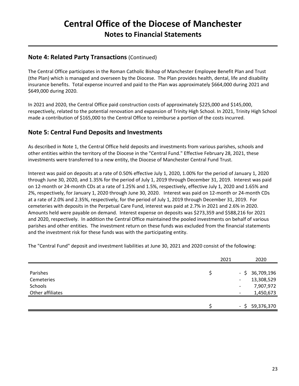#### **Note 4: Related Party Transactions** (Continued)

The Central Office participates in the Roman Catholic Bishop of Manchester Employee Benefit Plan and Trust (the Plan) which is managed and overseen by the Diocese. The Plan provides health, dental, life and disability insurance benefits. Total expense incurred and paid to the Plan was approximately \$664,000 during 2021 and \$649,000 during 2020.

In 2021 and 2020, the Central Office paid construction costs of approximately \$225,000 and \$145,000, respectively, related to the potential renovation and expansion of Trinity High School. In 2021, Trinity High School made a contribution of \$165,000 to the Central Office to reimburse a portion of the costs incurred.

#### **Note 5: Central Fund Deposits and Investments**

As described in Note 1, the Central Office held deposits and investments from various parishes, schools and other entities within the territory of the Diocese in the "Central Fund." Effective February 28, 2021, these investments were transferred to a new entity, the Diocese of Manchester Central Fund Trust.

Interest was paid on deposits at a rate of 0.50% effective July 1, 2020, 1.00% for the period of January 1, 2020 through June 30, 2020, and 1.35% for the period of July 1, 2019 through December 31, 2019. Interest was paid on 12-month or 24-month CDs at a rate of 1.25% and 1.5%, respectively, effective July 1, 2020 and 1.65% and 2%, respectively, for January 1, 2020 through June 30, 2020. Interest was paid on 12-month or 24-month CDs at a rate of 2.0% and 2.35%, respectively, for the period of July 1, 2019 through December 31, 2019. For cemeteries with deposits in the Perpetual Care Fund, interest was paid at 2.7% in 2021 and 2.6% in 2020. Amounts held were payable on demand. Interest expense on deposits was \$273,359 and \$588,216 for 2021 and 2020, respectively. In addition the Central Office maintained the pooled investments on behalf of various parishes and other entities. The investment return on these funds was excluded from the financial statements and the investment risk for these funds was with the participating entity.

The "Central Fund" deposit and investment liabilities at June 30, 2021 and 2020 consist of the following:

|                  | 2021 |                          | 2020              |
|------------------|------|--------------------------|-------------------|
|                  |      |                          |                   |
| Parishes         |      |                          | $-$ \$ 36,709,196 |
| Cemeteries       |      | $\overline{\phantom{a}}$ | 13,308,529        |
| Schools          |      | $\overline{\phantom{a}}$ | 7,907,972         |
| Other affiliates |      | $\overline{\phantom{a}}$ | 1,450,673         |
|                  |      |                          |                   |
|                  |      |                          | $-$ \$ 59,376,370 |
|                  |      |                          |                   |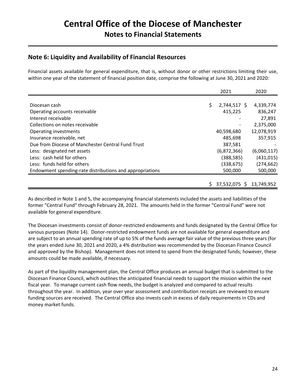#### **Note 6: Liquidity and Availability of Financial Resources**

Financial assets available for general expenditure, that is, without donor or other restrictions limiting their use, within one year of the statement of financial position date, comprise the following at June 30, 2021 and 2020:

|                                                          | 2021                | 2020        |
|----------------------------------------------------------|---------------------|-------------|
|                                                          |                     |             |
| Diocesan cash                                            | \$<br>2,744,517 \$  | 4,339,774   |
| Operating accounts receivable                            | 415,225             | 836,247     |
| Interest receivable                                      |                     | 27,891      |
| Collections on notes receivable                          |                     | 2,375,000   |
| Operating investments                                    | 40,598,680          | 12,078,919  |
| Insurance receivable, net                                | 485,698             | 357,915     |
| Due from Diocese of Manchester Central Fund Trust        | 387,581             |             |
| Less: designated net assets                              | (6,872,366)         | (6,060,117) |
| Less: cash held for others                               | (388, 585)          | (431, 015)  |
| Less: funds held for others                              | (338, 675)          | (274, 662)  |
| Endowment spending-rate distributions and appropriations | 500,000             | 500,000     |
|                                                          |                     |             |
|                                                          | \$<br>37,532,075 \$ | 13,749,952  |

As described in Note 1 and 5, the accompanying financial statements included the assets and liabilities of the former "Central Fund" through February 28, 2021. The amounts held in the former "Central Fund" were not available for general expenditure.

The Diocesan investments consist of donor-restricted endowments and funds designated by the Central Office for various purposes (Note 14). Donor-restricted endowment funds are not available for general expenditure and are subject to an annual spending rate of up to 5% of the funds average fair value of the previous three years (for the years ended June 30, 2021 and 2020, a 4% distribution was recommended by the Diocesan Finance Council and approved by the Bishop). Management does not intend to spend from the designated funds; however, these amounts could be made available, if necessary.

As part of the liquidity management plan, the Central Office produces an annual budget that is submitted to the Diocesan Finance Council, which outlines the anticipated financial needs to support the mission within the next fiscal year. To manage current cash flow needs, the budget is analyzed and compared to actual results throughout the year. In addition, year over year assessment and contribution receipts are reviewed to ensure funding sources are received. The Central Office also invests cash in excess of daily requirements in CDs and money market funds.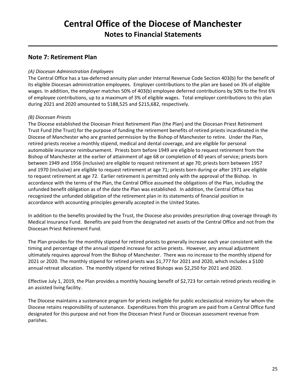#### **Note 7: Retirement Plan**

#### *(A) Diocesan Administration Employees*

The Central Office has a tax-deferred annuity plan under Internal Revenue Code Section 403(b) for the benefit of its eligible Diocesan administration employees. Employer contributions to the plan are based on 3% of eligible wages. In addition, the employer matches 50% of 403(b) employee deferred contributions by 50% to the first 6% of employee contributions, up to a maximum of 3% of eligible wages. Total employer contributions to this plan during 2021 and 2020 amounted to \$188,525 and \$215,682, respectively.

#### *(B) Diocesan Priests*

The Diocese established the Diocesan Priest Retirement Plan (the Plan) and the Diocesan Priest Retirement Trust Fund (the Trust) for the purpose of funding the retirement benefits of retired priests incardinated in the Diocese of Manchester who are granted permission by the Bishop of Manchester to retire. Under the Plan, retired priests receive a monthly stipend, medical and dental coverage, and are eligible for personal automobile insurance reimbursement. Priests born before 1949 are eligible to request retirement from the Bishop of Manchester at the earlier of attainment of age 68 or completion of 40 years of service; priests born between 1949 and 1956 (inclusive) are eligible to request retirement at age 70; priests born between 1957 and 1970 (inclusive) are eligible to request retirement at age 71; priests born during or after 1971 are eligible to request retirement at age 72. Earlier retirement is permitted only with the approval of the Bishop. In accordance with the terms of the Plan, the Central Office assumed the obligations of the Plan, including the unfunded benefit obligation as of the date the Plan was established. In addition, the Central Office has recognized the unfunded obligation of the retirement plan in its statements of financial position in accordance with accounting principles generally accepted in the United States.

In addition to the benefits provided by the Trust, the Diocese also provides prescription drug coverage through its Medical Insurance Fund. Benefits are paid from the designated net assets of the Central Office and not from the Diocesan Priest Retirement Fund.

The Plan provides for the monthly stipend for retired priests to generally increase each year consistent with the timing and percentage of the annual stipend increase for active priests. However, any annual adjustment ultimately requires approval from the Bishop of Manchester. There was no increase to the monthly stipend for 2021 or 2020. The monthly stipend for retired priests was \$1,777 for 2021 and 2020, which includes a \$100 annual retreat allocation. The monthly stipend for retired Bishops was \$2,250 for 2021 and 2020.

Effective July 1, 2019, the Plan provides a monthly housing benefit of \$2,723 for certain retired priests residing in an assisted living facility.

The Diocese maintains a sustenance program for priests ineligible for public ecclesiastical ministry for whom the Diocese retains responsibility of sustenance. Expenditures from this program are paid from a Central Office fund designated for this purpose and not from the Diocesan Priest Fund or Diocesan assessment revenue from parishes.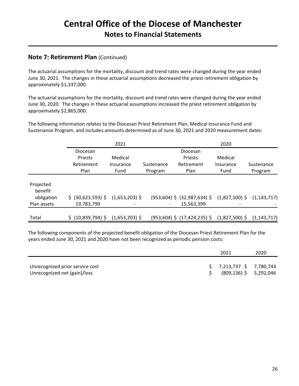#### **Note 7: Retirement Plan** (Continued)

The actuarial assumptions for the mortality, discount and trend rates were changed during the year ended June 30, 2021. The changes in these actuarial assumptions decreased the priest retirement obligation by approximately \$1,337,000.

The actuarial assumptions for the mortality, discount and trend rates were changed during the year ended June 30, 2020. The changes in these actuarial assumptions increased the priest retirement obligation by approximately \$2,865,000.

The following information relates to the Diocesan Priest Retirement Plan, Medical Insurance Fund and Sustenance Program, and includes amounts determined as of June 30, 2021 and 2020 measurement dates:

|                                    |                         | 2021             |            |                                  | 2020             |               |
|------------------------------------|-------------------------|------------------|------------|----------------------------------|------------------|---------------|
|                                    | Diocesan                |                  |            | Diocesan                         |                  |               |
|                                    | Priests                 | Medical          |            | Priests                          | Medical          |               |
|                                    | Retirement              | Insurance        | Sustenance | Retirement                       | Insurance        | Sustenance    |
|                                    | <b>Plan</b>             | Fund             | Program    | Plan                             | Fund             | Program       |
| Projected<br>benefit<br>obligation | $$$ (30,623,593) \$     | $(1,653,203)$ \$ |            | $(953,604)$ \$ $(32,987,634)$ \$ | $(1,827,500)$ \$ | (1, 143, 717) |
| Plan assets                        | 19,783,799              |                  | -          | 15,563,399                       |                  |               |
| Total                              | $(10,839,794)$ \$<br>S. | $(1,653,203)$ \$ |            | $(953,604)$ \$ $(17,424,235)$ \$ | $(1,827,500)$ \$ | (1, 143, 717) |

The following components of the projected benefit obligation of the Diocesan Priest Retirement Plan for the years ended June 30, 2021 and 2020 have not been recognized as periodic pension costs:

|                                 | 2021                      | 2020 |
|---------------------------------|---------------------------|------|
|                                 |                           |      |
| Unrecognized prior service cost | $$7,213,737$ $$7,780,743$ |      |
| Unrecognized net (gain)/loss    | (809,136) \$ 5,292,046    |      |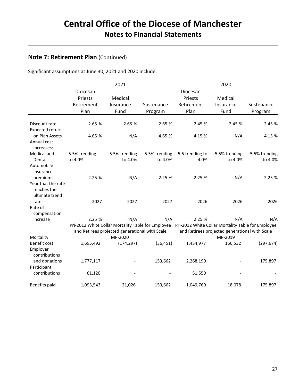### **Note 7: Retirement Plan** (Continued)

Significant assumptions at June 30, 2021 and 2020 include:

|                                                                 |                          | 2021                                           |                          |                                                                                                       | 2020                                           |                          |  |
|-----------------------------------------------------------------|--------------------------|------------------------------------------------|--------------------------|-------------------------------------------------------------------------------------------------------|------------------------------------------------|--------------------------|--|
|                                                                 | Diocesan                 |                                                |                          | Diocesan                                                                                              |                                                |                          |  |
|                                                                 | Priests                  | Medical                                        |                          | Priests                                                                                               | Medical                                        |                          |  |
|                                                                 | Retirement               | Insurance                                      | Sustenance               | Retirement                                                                                            | Insurance                                      | Sustenance               |  |
|                                                                 | Plan                     | Fund                                           | Program                  | Plan                                                                                                  | Fund                                           | Program                  |  |
| Discount rate<br>Expected return                                | 2.65 %                   | 2.65 %                                         | 2.65 %                   | 2.45 %                                                                                                | 2.45 %                                         | 2.45 %                   |  |
| on Plan Assets<br>Annual cost<br>increases:                     | 4.65 %                   | N/A                                            | 4.65 %                   | 4.15 %                                                                                                | N/A                                            | 4.15 %                   |  |
| Medical and<br>Dental<br>Automobile<br>insurance                | 5.5% trending<br>to 4.0% | 5.5% trending<br>to 4.0%                       | 5.5% trending<br>to 4.0% | 5.5 trending to<br>4.0%                                                                               | 5.5% trending<br>to 4.0%                       | 5.5% trending<br>to 4.0% |  |
| premiums<br>Year that the rate<br>reaches the<br>ultimate trend | 2.25 %                   | N/A                                            | 2.25 %                   | 2.25 %                                                                                                | N/A                                            | 2.25 %                   |  |
| rate<br>Rate of<br>compensation                                 | 2027                     | 2027                                           | 2027                     | 2026                                                                                                  | 2026                                           | 2026                     |  |
| increase                                                        | 2.25 %                   | N/A                                            | N/A                      | 2.25 %                                                                                                | N/A                                            | N/A                      |  |
|                                                                 |                          |                                                |                          | Pri-2012 White Collar Mortality Table for Employee Pri-2012 White Collar Mortality Table for Employee |                                                |                          |  |
|                                                                 |                          | and Retirees projected generational with Scale |                          |                                                                                                       | and Retirees projected generational with Scale |                          |  |
| Mortality                                                       |                          | MP-2020                                        |                          |                                                                                                       | MP-2019                                        |                          |  |
| Benefit cost<br>Employer<br>contributions                       | 1,695,492                | (174, 297)                                     | (36, 451)                | 1,434,977                                                                                             | 160,532                                        | (297, 674)               |  |
| and donations<br>Participant                                    | 1,777,117                |                                                | 153,662                  | 2,268,190                                                                                             |                                                | 175,897                  |  |
| contributions                                                   | 61,120                   |                                                |                          | 51,550                                                                                                |                                                |                          |  |
| Benefits paid                                                   | 1,093,543                | 21,026                                         | 153,662                  | 1,049,760                                                                                             | 18,078                                         | 175,897                  |  |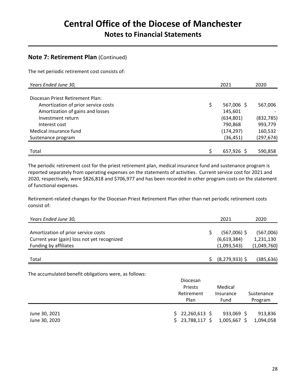#### **Note 7: Retirement Plan** (Continued)

The net periodic retirement cost consists of:

| Years Ended June 30,                                                    | 2021               | 2020       |
|-------------------------------------------------------------------------|--------------------|------------|
|                                                                         |                    |            |
| Diocesan Priest Retirement Plan:<br>Amortization of prior service costs | \$<br>567,006 \$   | 567,006    |
| Amortization of gains and losses                                        | 145,601            |            |
| Investment return                                                       | (634, 801)         | (832, 785) |
| Interest cost                                                           | 790,868            | 993,779    |
| Medical insurance fund                                                  | (174, 297)         | 160,532    |
| Sustenance program                                                      | (36, 451)          | (297, 674) |
|                                                                         |                    |            |
| Total                                                                   | \$<br>$657,926$ \$ | 590,858    |

The periodic retirement cost for the priest retirement plan, medical insurance fund and sustenance program is reported separately from operating expenses on the statements of activities. Current service cost for 2021 and 2020, respectively, were \$826,818 and \$706,977 and has been recorded in other program costs on the statement of functional expenses.

Retirement-related changes for the Diocesan Priest Retirement Plan other than net periodic retirement costs consist of:

| Years Ended June 30,                                          | 2021               | 2020        |
|---------------------------------------------------------------|--------------------|-------------|
|                                                               |                    |             |
| Amortization of prior service costs                           | $(567,006)$ \$     | (567,006)   |
| Current year (gain) loss not yet recognized                   | (6,619,384)        | 1,231,130   |
| Funding by affiliates                                         | (1,093,543)        | (1,049,760) |
|                                                               |                    |             |
| Total                                                         | $(8, 279, 933)$ \$ | (385, 636)  |
|                                                               |                    |             |
| The communicated homefit althout and more communicated below. |                    |             |

The accumulated benefit obligations were, as follows:

|               | Diocesan         |                |            |  |
|---------------|------------------|----------------|------------|--|
|               | Priests          | Medical        |            |  |
|               | Retirement       | Insurance      | Sustenance |  |
|               | Plan             | Fund           | Program    |  |
|               |                  |                |            |  |
| June 30, 2021 | \$22,260,613     | $933,069$ \$   | 913,836    |  |
| June 30, 2020 | $$23,788,117$ \$ | $1,005,667$ \$ | 1,094,058  |  |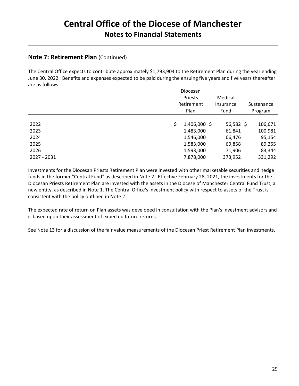#### **Note 7: Retirement Plan** (Continued)

The Central Office expects to contribute approximately \$1,793,904 to the Retirement Plan during the year ending June 30, 2022. Benefits and expenses expected to be paid during the ensuing five years and five years thereafter are as follows:

|             |                    | Diocesan     |  |             |            |
|-------------|--------------------|--------------|--|-------------|------------|
|             | Priests<br>Medical |              |  |             |            |
|             |                    | Retirement   |  | Insurance   | Sustenance |
|             |                    | Plan         |  | Fund        | Program    |
|             |                    |              |  |             |            |
| 2022        | \$                 | 1,406,000 \$ |  | $56,582$ \$ | 106,671    |
| 2023        |                    | 1,483,000    |  | 61,841      | 100,981    |
| 2024        |                    | 1,546,000    |  | 66,476      | 95,154     |
| 2025        |                    | 1,583,000    |  | 69,858      | 89,255     |
| 2026        |                    | 1,593,000    |  | 71,906      | 83,344     |
| 2027 - 2031 |                    | 7,878,000    |  | 373,952     | 331,292    |

Investments for the Diocesan Priests Retirement Plan were invested with other marketable securities and hedge funds in the former "Central Fund" as described in Note 2. Effective February 28, 2021, the investments for the Diocesan Priests Retirement Plan are invested with the assets in the Diocese of Manchester Central Fund Trust, a new entity, as described in Note 1. The Central Office's investment policy with respect to assets of the Trust is consistent with the policy outlined in Note 2.

The expected rate of return on Plan assets was developed in consultation with the Plan's investment advisors and is based upon their assessment of expected future returns.

See Note 13 for a discussion of the fair value measurements of the Diocesan Priest Retirement Plan investments.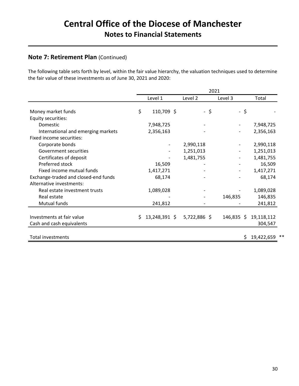#### **Note 7: Retirement Plan** (Continued)

The following table sets forth by level, within the fair value hierarchy, the valuation techniques used to determine the fair value of these investments as of June 30, 2021 and 2020:

|                                      |    |               |                | 2021         |      |            |  |
|--------------------------------------|----|---------------|----------------|--------------|------|------------|--|
|                                      |    | Level 1       | Level 2        | Level 3      |      | Total      |  |
| Money market funds                   | \$ | 110,709 \$    | - \$           |              | - \$ |            |  |
| Equity securities:                   |    |               |                |              |      |            |  |
| Domestic                             |    | 7,948,725     |                |              |      | 7,948,725  |  |
| International and emerging markets   |    | 2,356,163     |                |              |      | 2,356,163  |  |
| Fixed income securities:             |    |               |                |              |      |            |  |
| Corporate bonds                      |    |               | 2,990,118      |              |      | 2,990,118  |  |
| Government securities                |    |               | 1,251,013      |              |      | 1,251,013  |  |
| Certificates of deposit              |    |               | 1,481,755      |              |      | 1,481,755  |  |
| Preferred stock                      |    | 16,509        |                |              |      | 16,509     |  |
| Fixed income mutual funds            |    | 1,417,271     |                |              |      | 1,417,271  |  |
| Exchange-traded and closed-end funds |    | 68,174        |                |              |      | 68,174     |  |
| Alternative investments:             |    |               |                |              |      |            |  |
| Real estate investment trusts        |    | 1,089,028     |                |              |      | 1,089,028  |  |
| Real estate                          |    |               |                | 146,835      |      | 146,835    |  |
| Mutual funds                         |    | 241,812       |                |              |      | 241,812    |  |
|                                      |    |               |                |              |      |            |  |
| Investments at fair value            | Ŝ. | 13,248,391 \$ | $5,722,886$ \$ | $146,835$ \$ |      | 19,118,112 |  |
| Cash and cash equivalents            |    |               |                |              |      | 304,547    |  |
| <b>Total investments</b>             |    |               |                |              | \$   | 19,422,659 |  |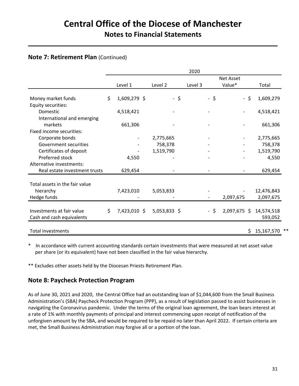#### **Note 7: Retirement Plan** (Continued)

|                                |                    |                | 2020    |      |                  |            |
|--------------------------------|--------------------|----------------|---------|------|------------------|------------|
|                                |                    |                |         |      | <b>Net Asset</b> |            |
|                                | Level 1            | Level 2        | Level 3 |      | Value*           | Total      |
| Money market funds             | \$<br>1,609,279 \$ | - \$           |         | $-5$ | $-5$             | 1,609,279  |
| Equity securities:             |                    |                |         |      |                  |            |
| Domestic                       | 4,518,421          |                |         |      |                  | 4,518,421  |
| International and emerging     |                    |                |         |      |                  |            |
| markets                        | 661,306            |                |         |      |                  | 661,306    |
| Fixed income securities:       |                    |                |         |      |                  |            |
| Corporate bonds                |                    | 2,775,665      |         |      |                  | 2,775,665  |
| Government securities          |                    | 758,378        |         |      |                  | 758,378    |
| Certificates of deposit        |                    | 1,519,790      |         |      |                  | 1,519,790  |
| Preferred stock                | 4,550              |                |         |      |                  | 4,550      |
| Alternative investments:       |                    |                |         |      |                  |            |
| Real estate investment trusts  | 629,454            |                |         |      |                  | 629,454    |
|                                |                    |                |         |      |                  |            |
| Total assets in the fair value |                    |                |         |      |                  |            |
| hierarchy                      | 7,423,010          | 5,053,833      |         |      |                  | 12,476,843 |
| Hedge funds                    |                    |                |         |      | 2,097,675        | 2,097,675  |
|                                |                    |                |         |      |                  |            |
| Investments at fair value      | \$<br>7,423,010 \$ | $5,053,833$ \$ |         | $-5$ | 2,097,675 \$     | 14,574,518 |
| Cash and cash equivalents      |                    |                |         |      |                  | 593,052    |
|                                |                    |                |         |      |                  |            |
| <b>Total investments</b>       |                    |                |         |      | \$               | 15,167,570 |

\* In accordance with current accounting standards certain investments that were measured at net asset value per share (or its equivalent) have not been classified in the fair value hierarchy.

\*\* Excludes other assets held by the Diocesan Priests Retirement Plan.

#### **Note 8: Paycheck Protection Program**

As of June 30, 2021 and 2020, the Central Office had an outstanding loan of \$1,044,600 from the Small Business Administration's (SBA) Paycheck Protection Program (PPP), as a result of legislation passed to assist businesses in navigating the Coronavirus pandemic. Under the terms of the original loan agreement, the loan bears interest at a rate of 1% with monthly payments of principal and interest commencing upon receipt of notification of the unforgiven amount by the SBA, and would be required to be repaid no later than April 2022. If certain criteria are met, the Small Business Administration may forgive all or a portion of the loan.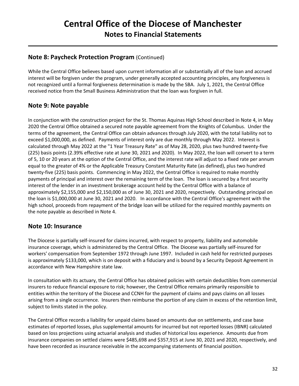#### **Note 8: Paycheck Protection Program** (Continued)

While the Central Office believes based upon current information all or substantially all of the loan and accrued interest will be forgiven under the program, under generally accepted accounting principles, any forgiveness is not recognized until a formal forgiveness determination is made by the SBA. July 1, 2021, the Central Office received notice from the Small Business Administration that the loan was forgiven in full.

#### **Note 9: Note payable**

In conjunction with the construction project for the St. Thomas Aquinas High School described in Note 4, in May 2020 the Central Office obtained a secured note payable agreement from the Knights of Columbus. Under the terms of the agreement, the Central Office can obtain advances through July 2020, with the total liability not to exceed \$1,000,000, as defined. Payments of interest only are due monthly through May 2022. Interest is calculated through May 2022 at the "1 Year Treasury Rate" as of May 28, 2020, plus two hundred twenty-five (225) basis points (2.39% effective rate at June 30, 2021 and 2020). In May 2022, the loan will convert to a term of 5, 10 or 20 years at the option of the Central Office, and the interest rate will adjust to a fixed rate per annum equal to the greater of 4% or the Applicable Treasury Constant Maturity Rate (as defined), plus two hundred twenty-five (225) basis points. Commencing in May 2022, the Central Office is required to make monthly payments of principal and interest over the remaining term of the loan. The loan is secured by a first security interest of the lender in an investment brokerage account held by the Central Office with a balance of approximately \$2,155,000 and \$2,150,000 as of June 30, 2021 and 2020, respectively. Outstanding principal on the loan is \$1,000,000 at June 30, 2021 and 2020. In accordance with the Central Office's agreement with the high school, proceeds from repayment of the bridge loan will be utilized for the required monthly payments on the note payable as described in Note 4.

#### **Note 10: Insurance**

The Diocese is partially self-insured for claims incurred, with respect to property, liability and automobile insurance coverage, which is administered by the Central Office. The Diocese was partially self-insured for workers' compensation from September 1972 through June 1997. Included in cash held for restricted purposes is approximately \$133,000, which is on deposit with a fiduciary and is bound by a Security Deposit Agreement in accordance with New Hampshire state law.

In consultation with its actuary, the Central Office has obtained policies with certain deductibles from commercial insurers to reduce financial exposure to risk; however, the Central Office remains primarily responsible to entities within the territory of the Diocese and CCNH for the payment of claims and pays claims on all losses arising from a single occurrence. Insurers then reimburse the portion of any claim in excess of the retention limit, subject to limits stated in the policy.

The Central Office records a liability for unpaid claims based on amounts due on settlements, and case base estimates of reported losses, plus supplemental amounts for incurred but not reported losses (IBNR) calculated based on loss projections using actuarial analysis and studies of historical loss experience. Amounts due from insurance companies on settled claims were \$485,698 and \$357,915 at June 30, 2021 and 2020, respectively, and have been recorded as insurance receivable in the accompanying statements of financial position.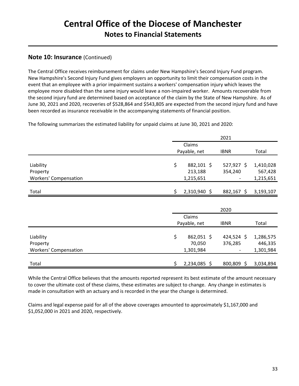#### **Note 10: Insurance** (Continued)

The Central Office receives reimbursement for claims under New Hampshire's Second Injury Fund program. New Hampshire's Second Injury Fund gives employers an opportunity to limit their compensation costs in the event that an employee with a prior impairment sustains a workers' compensation injury which leaves the employee more disabled than the same injury would leave a non-impaired worker. Amounts recoverable from the second injury fund are determined based on acceptance of the claim by the State of New Hampshire. As of June 30, 2021 and 2020, recoveries of \$528,864 and \$543,805 are expected from the second injury fund and have been recorded as insurance receivable in the accompanying statements of financial position.

The following summarizes the estimated liability for unpaid claims at June 30, 2021 and 2020:

|                              |              | 2021                     |           |
|------------------------------|--------------|--------------------------|-----------|
|                              | Claims       |                          |           |
|                              | Payable, net | <b>IBNR</b>              | Total     |
|                              |              |                          |           |
| Liability                    | 882,101 \$   | 527,927 \$               | 1,410,028 |
| Property                     | 213,188      | 354,240                  | 567,428   |
| <b>Workers' Compensation</b> | 1,215,651    | $\overline{\phantom{a}}$ | 1,215,651 |
|                              |              |                          |           |
| Total                        | 2,310,940 \$ | $882,167$ \$             | 3,193,107 |
|                              |              |                          |           |

|                              |                  | 2020                     |           |
|------------------------------|------------------|--------------------------|-----------|
|                              | Claims           |                          |           |
|                              | Payable, net     | <b>IBNR</b>              | Total     |
|                              |                  |                          |           |
| Liability                    | \$<br>862,051 \$ | $424,524$ \$             | 1,286,575 |
| Property                     | 70,050           | 376,285                  | 446,335   |
| <b>Workers' Compensation</b> | 1,301,984        | $\overline{\phantom{a}}$ | 1,301,984 |
|                              |                  |                          |           |
| Total                        | 2,234,085 \$     | 800,809 \$               | 3,034,894 |

While the Central Office believes that the amounts reported represent its best estimate of the amount necessary to cover the ultimate cost of these claims, these estimates are subject to change. Any change in estimates is made in consultation with an actuary and is recorded in the year the change is determined.

Claims and legal expense paid for all of the above coverages amounted to approximately \$1,167,000 and \$1,052,000 in 2021 and 2020, respectively.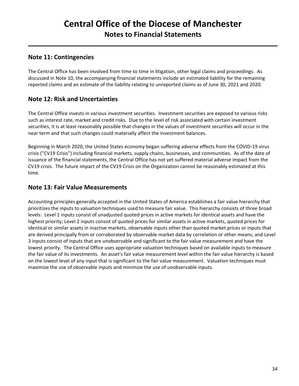#### **Note 11: Contingencies**

The Central Office has been involved from time to time in litigation, other legal claims and proceedings. As discussed in Note 10, the accompanying financial statements include an estimated liability for the remaining reported claims and an estimate of the liability relating to unreported claims as of June 30, 2021 and 2020.

#### **Note 12: Risk and Uncertainties**

The Central Office invests in various investment securities. Investment securities are exposed to various risks such as interest rate, market and credit risks. Due to the level of risk associated with certain investment securities, it is at least reasonably possible that changes in the values of investment securities will occur in the near term and that such changes could materially affect the investment balances.

Beginning in March 2020, the United States economy began suffering adverse effects from the COVID-19 virus crisis ("CV19 Crisis") including financial markets, supply chains, businesses, and communities. As of the date of issuance of the financial statements, the Central Office has not yet suffered material adverse impact from the CV19 crisis. The future impact of the CV19 Crisis on the Organization cannot be reasonably estimated at this time.

#### **Note 13: Fair Value Measurements**

Accounting principles generally accepted in the United States of America establishes a fair value hierarchy that prioritizes the inputs to valuation techniques used to measure fair value. This hierarchy consists of three broad levels: Level 1 inputs consist of unadjusted quoted prices in active markets for identical assets and have the highest priority; Level 2 inputs consist of quoted prices for similar assets in active markets, quoted prices for identical or similar assets in inactive markets, observable inputs other than quoted market prices or inputs that are derived principally from or corroborated by observable market data by correlation or other means; and Level 3 inputs consist of inputs that are unobservable and significant to the fair value measurement and have the lowest priority. The Central Office uses appropriate valuation techniques based on available inputs to measure the fair value of its investments. An asset's fair value measurement level within the fair value hierarchy is based on the lowest level of any input that is significant to the fair value measurement. Valuation techniques must maximize the use of observable inputs and minimize the use of unobservable inputs.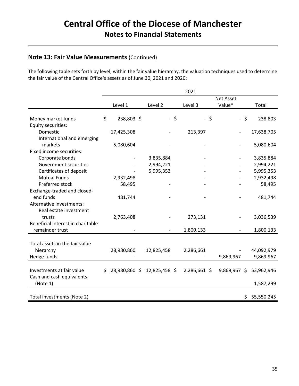### **Note 13: Fair Value Measurements** (Continued)

The following table sets forth by level, within the fair value hierarchy, the valuation techniques used to determine the fair value of the Central Office's assets as of June 30, 2021 and 2020:

|                                   |     |            |                             | 2021         |                  |      |              |
|-----------------------------------|-----|------------|-----------------------------|--------------|------------------|------|--------------|
|                                   |     |            |                             |              | <b>Net Asset</b> |      |              |
|                                   |     | Level 1    | Level 2                     | Level 3      | Value*           |      | Total        |
|                                   |     |            |                             |              |                  |      |              |
| Money market funds                | \$  | 238,803 \$ | $-5$                        | $-5$         |                  | $-5$ | 238,803      |
| Equity securities:                |     |            |                             |              |                  |      |              |
| Domestic                          |     | 17,425,308 |                             | 213,397      |                  |      | 17,638,705   |
| International and emerging        |     |            |                             |              |                  |      |              |
| markets                           |     | 5,080,604  |                             |              |                  |      | 5,080,604    |
| Fixed income securities:          |     |            |                             |              |                  |      |              |
| Corporate bonds                   |     |            | 3,835,884                   |              |                  |      | 3,835,884    |
| Government securities             |     |            | 2,994,221                   |              |                  |      | 2,994,221    |
| Certificates of deposit           |     |            | 5,995,353                   |              |                  |      | 5,995,353    |
| <b>Mutual Funds</b>               |     | 2,932,498  |                             |              |                  |      | 2,932,498    |
| Preferred stock                   |     | 58,495     |                             |              |                  |      | 58,495       |
| Exchange-traded and closed-       |     |            |                             |              |                  |      |              |
| end funds                         |     | 481,744    |                             |              |                  |      | 481,744      |
| Alternative investments:          |     |            |                             |              |                  |      |              |
| Real estate investment            |     |            |                             |              |                  |      |              |
| trusts                            |     | 2,763,408  |                             | 273,131      |                  |      | 3,036,539    |
| Beneficial interest in charitable |     |            |                             |              |                  |      |              |
| remainder trust                   |     |            |                             | 1,800,133    |                  |      | 1,800,133    |
|                                   |     |            |                             |              |                  |      |              |
| Total assets in the fair value    |     |            |                             |              |                  |      |              |
| hierarchy                         |     | 28,980,860 | 12,825,458                  | 2,286,661    |                  |      | 44,092,979   |
| Hedge funds                       |     |            |                             |              | 9,869,967        |      | 9,869,967    |
|                                   |     |            |                             |              |                  |      |              |
| Investments at fair value         | \$. |            | 28,980,860 \$ 12,825,458 \$ | 2,286,661 \$ | $9,869,967$ \$   |      | 53,962,946   |
| Cash and cash equivalents         |     |            |                             |              |                  |      |              |
| (Note 1)                          |     |            |                             |              |                  |      | 1,587,299    |
|                                   |     |            |                             |              |                  |      |              |
| Total investments (Note 2)        |     |            |                             |              |                  |      | \$5,5550,245 |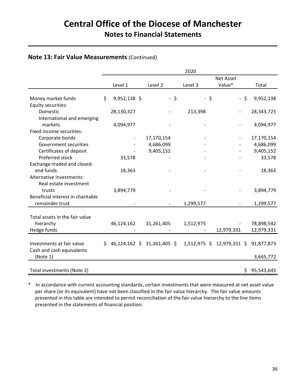#### **Note 13: Fair Value Measurements** (Continued)

|                                                        |     |                |                             | 2020      |                  |                                |                                       |
|--------------------------------------------------------|-----|----------------|-----------------------------|-----------|------------------|--------------------------------|---------------------------------------|
|                                                        |     |                |                             |           | <b>Net Asset</b> |                                |                                       |
|                                                        |     | Level 1        | Level 2                     | Level 3   | Value*           |                                | Total                                 |
| Money market funds                                     | \$  | $9,952,138$ \$ | $-5$                        | $-5$      |                  | \$<br>$\overline{\phantom{a}}$ | 9,952,138                             |
| Equity securities:<br>Domestic                         |     | 28,130,327     |                             | 213,398   |                  |                                | 28,343,725                            |
| International and emerging<br>markets                  |     | 4,094,977      |                             |           |                  |                                | 4,094,977                             |
| Fixed income securities:<br>Corporate bonds            |     |                | 17,170,154                  |           |                  |                                | 17,170,154                            |
| Government securities<br>Certificates of deposit       |     |                | 4,686,099<br>9,405,152      |           |                  |                                | 4,686,099<br>9,405,152                |
| Preferred stock<br>Exchange-traded and closed-         |     | 33,578         |                             |           |                  |                                | 33,578                                |
| end funds<br>Alternative investments:                  |     | 18,363         |                             |           |                  |                                | 18,363                                |
| Real estate investment<br>trusts                       |     | 3,894,779      |                             |           |                  |                                | 3,894,779                             |
| Beneficial interest in charitable<br>remainder trust   |     |                |                             | 1,299,577 |                  |                                | 1,299,577                             |
| Total assets in the fair value                         |     |                |                             |           |                  |                                |                                       |
| hierarchy<br>Hedge funds                               |     | 46,124,162     | 31,261,405                  | 1,512,975 | 12,979,331       |                                | 78,898,542<br>12,979,331              |
| Investments at fair value<br>Cash and cash equivalents | \$. |                | 46,124,162 \$ 31,261,405 \$ |           |                  |                                | 1,512,975 \$ 12,979,331 \$ 91,877,873 |
| (Note 1)                                               |     |                |                             |           |                  |                                | 3,665,772                             |
| Total investments (Note 2)                             |     |                |                             |           |                  | \$                             | 95,543,645                            |

\* In accordance with current accounting standards, certain investments that were measured at net asset value per share (or its equivalent) have not been classified in the fair value hierarchy. The fair value amounts presented in this table are intended to permit reconciliation of the fair value hierarchy to the line items presented in the statements of financial position.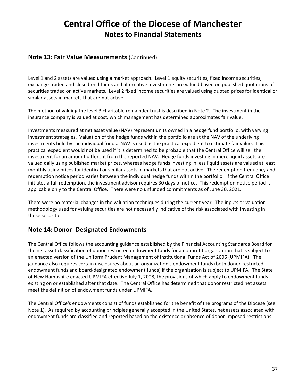#### **Note 13: Fair Value Measurements** (Continued)

Level 1 and 2 assets are valued using a market approach. Level 1 equity securities, fixed income securities, exchange traded and closed-end funds and alternative investments are valued based on published quotations of securities traded on active markets. Level 2 fixed income securities are valued using quoted prices for identical or similar assets in markets that are not active.

The method of valuing the level 3 charitable remainder trust is described in Note 2. The investment in the insurance company is valued at cost, which management has determined approximates fair value.

Investments measured at net asset value (NAV) represent units owned in a hedge fund portfolio, with varying investment strategies. Valuation of the hedge funds within the portfolio are at the NAV of the underlying investments held by the individual funds. NAV is used as the practical expedient to estimate fair value. This practical expedient would not be used if it is determined to be probable that the Central Office will sell the investment for an amount different from the reported NAV. Hedge funds investing in more liquid assets are valued daily using published market prices, whereas hedge funds investing in less liquid assets are valued at least monthly using prices for identical or similar assets in markets that are not active. The redemption frequency and redemption notice period varies between the individual hedge funds within the portfolio. If the Central Office initiates a full redemption, the investment advisor requires 30 days of notice. This redemption notice period is applicable only to the Central Office. There were no unfunded commitments as of June 30, 2021.

There were no material changes in the valuation techniques during the current year. The inputs or valuation methodology used for valuing securities are not necessarily indicative of the risk associated with investing in those securities.

#### **Note 14: Donor- Designated Endowments**

The Central Office follows the accounting guidance established by the Financial Accounting Standards Board for the net asset classification of donor-restricted endowment funds for a nonprofit organization that is subject to an enacted version of the Uniform Prudent Management of Institutional Funds Act of 2006 (UPMIFA). The guidance also requires certain disclosures about an organization's endowment funds (both donor-restricted endowment funds and board-designated endowment funds) if the organization is subject to UPMIFA. The State of New Hampshire enacted UPMIFA effective July 1, 2008, the provisions of which apply to endowment funds existing on or established after that date. The Central Office has determined that donor restricted net assets meet the definition of endowment funds under UPMIFA.

The Central Office's endowments consist of funds established for the benefit of the programs of the Diocese (see Note 1). As required by accounting principles generally accepted in the United States, net assets associated with endowment funds are classified and reported based on the existence or absence of donor-imposed restrictions.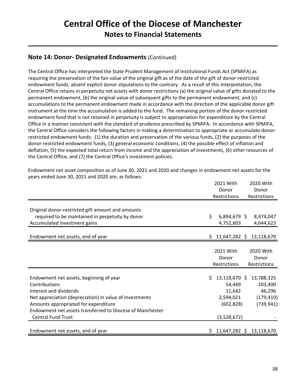#### **Note 14: Donor- Designated Endowments** (Continued)

The Central Office has interpreted the State Prudent Management of Institutional Funds Act (SPMIFA) as requiring the preservation of the fair value of the original gift as of the date of the gift of donor-restricted endowment funds, absent explicit donor stipulations to the contrary. As a result of this interpretation, the Central Office retains in perpetuity net assets with donor restrictions (a) the original value of gifts donated to the permanent endowment, (b) the original value of subsequent gifts to the permanent endowment, and (c) accumulations to the permanent endowment made in accordance with the direction of the applicable donor gift instrument at the time the accumulation is added to the fund. The remaining portion of the donor-restricted endowment fund that is not retained in perpetuity is subject to appropriation for expenditure by the Central Office in a manner consistent with the standard of prudence prescribed by SPMIFA. In accordance with SPMIFA, the Central Office considers the following factors in making a determination to appropriate or accumulate donorrestricted endowment funds: (1) the duration and preservation of the various funds, (2) the purposes of the donor-restricted endowment funds, (3) general economic conditions, (4) the possible effect of inflation and deflation, (5) the expected total return from income and the appreciation of investments, (6) other resources of the Central Office, and (7) the Central Office's investment policies.

|                                                           | 2021 With            | 2020 With                |
|-----------------------------------------------------------|----------------------|--------------------------|
|                                                           | Donor                | Donor                    |
|                                                           | Restrictions         | Restrictions             |
|                                                           |                      |                          |
| Original donor-restricted gift amount and amounts         |                      |                          |
| required to be maintained in perpetuity by donor          | \$<br>$6,894,679$ \$ | 8,474,047                |
| Accumulated investment gains                              | 4,752,603            | 4,644,623                |
|                                                           |                      |                          |
| Endowment net assets, end of year                         | S.                   | 11,647,282 \$ 13,118,670 |
|                                                           |                      |                          |
|                                                           | 2021 With            | 2020 With                |
|                                                           | Donor                | Donor                    |
|                                                           | Restrictions         | Restrictions             |
|                                                           |                      |                          |
| Endowment net assets, beginning of year                   | 13,118,670 \$<br>Ś.  | 13,788,325               |
| Contributions                                             | 54,449               | 203,400                  |
| Interest and dividends                                    | 11,642               | 46,296                   |
| Net appreciation (depreciation) in value of investments   | 2,594,021            | (179, 410)               |
| Amounts appropriated for expenditure                      | (602, 828)           | (739, 941)               |
| Endowment net assets transferred to Diocese of Manchester |                      |                          |
| <b>Central Fund Trust</b>                                 | (3,528,672)          |                          |
|                                                           |                      |                          |
| Endowment net assets, end of year                         | S.                   | 11,647,282 \$ 13,118,670 |

Endowment net asset composition as of June 30, 2021 and 2020 and changes in endowment net assets for the years ended June 30, 2021 and 2020 are, as follows: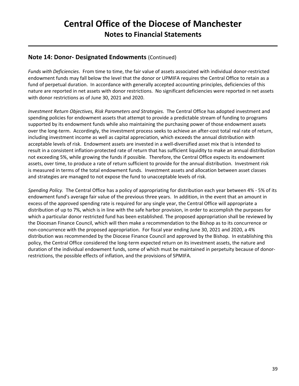#### **Note 14: Donor- Designated Endowments** (Continued)

*Funds with Deficiencies*. From time to time, the fair value of assets associated with individual donor-restricted endowment funds may fall below the level that the donor or UPMIFA requires the Central Office to retain as a fund of perpetual duration. In accordance with generally accepted accounting principles, deficiencies of this nature are reported in net assets with donor restrictions. No significant deficiencies were reported in net assets with donor restrictions as of June 30, 2021 and 2020.

*Investment Return Objectives, Risk Parameters and Strategies.* The Central Office has adopted investment and spending policies for endowment assets that attempt to provide a predictable stream of funding to programs supported by its endowment funds while also maintaining the purchasing power of those endowment assets over the long-term. Accordingly, the investment process seeks to achieve an after-cost total real rate of return, including investment income as well as capital appreciation, which exceeds the annual distribution with acceptable levels of risk. Endowment assets are invested in a well-diversified asset mix that is intended to result in a consistent inflation-protected rate of return that has sufficient liquidity to make an annual distribution not exceeding 5%, while growing the funds if possible. Therefore, the Central Office expects its endowment assets, over time, to produce a rate of return sufficient to provide for the annual distribution. Investment risk is measured in terms of the total endowment funds. Investment assets and allocation between asset classes and strategies are managed to not expose the fund to unacceptable levels of risk.

*Spending Policy.* The Central Office has a policy of appropriating for distribution each year between 4% - 5% of its endowment fund's average fair value of the previous three years. In addition, in the event that an amount in excess of the approved spending rate is required for any single year, the Central Office will appropriate a distribution of up to 7%, which is in line with the safe harbor provision, in order to accomplish the purposes for which a particular donor restricted fund has been established. The proposed appropriation shall be reviewed by the Diocesan Finance Council, which will then make a recommendation to the Bishop as to its concurrence or non-concurrence with the proposed appropriation. For fiscal year ending June 30, 2021 and 2020, a 4% distribution was recommended by the Diocese Finance Council and approved by the Bishop. In establishing this policy, the Central Office considered the long-term expected return on its investment assets, the nature and duration of the individual endowment funds, some of which must be maintained in perpetuity because of donorrestrictions, the possible effects of inflation, and the provisions of SPMIFA.